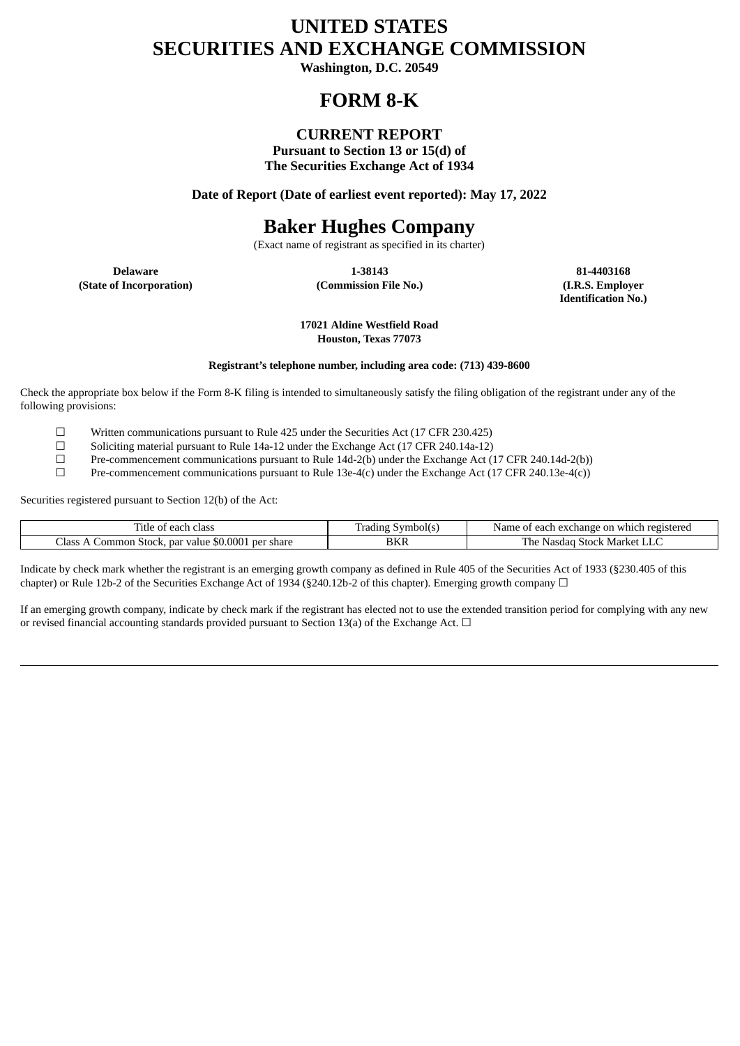# **UNITED STATES SECURITIES AND EXCHANGE COMMISSION**

**Washington, D.C. 20549**

# **FORM 8-K**

# **CURRENT REPORT**

**Pursuant to Section 13 or 15(d) of The Securities Exchange Act of 1934**

**Date of Report (Date of earliest event reported): May 17, 2022**

# **Baker Hughes Company**

(Exact name of registrant as specified in its charter)

**(State of Incorporation) (Commission File No.) (I.R.S. Employer**

**Delaware 1-38143 81-4403168**

**Identification No.)**

**17021 Aldine Westfield Road Houston, Texas 77073**

# **Registrant's telephone number, including area code: (713) 439-8600**

Check the appropriate box below if the Form 8-K filing is intended to simultaneously satisfy the filing obligation of the registrant under any of the following provisions:

 $\Box$  Written communications pursuant to Rule 425 under the Securities Act (17 CFR 230.425)<br>Soliciting material pursuant to Rule 14a-12 under the Exchange Act (17 CFR 240.14a-12)

□ Soliciting material pursuant to Rule 14a-12 under the Exchange Act (17 CFR 240.14a-12)<br>Pre-commencement communications pursuant to Rule 14d-2(b) under the Exchange Act (

Pre-commencement communications pursuant to Rule 14d-2(b) under the Exchange Act (17 CFR 240.14d-2(b))

 $\square$  Pre-commencement communications pursuant to Rule 13e-4(c) under the Exchange Act (17 CFR 240.13e-4(c))

Securities registered pursuant to Section 12(b) of the Act:

| ÷.<br>class<br>ïtle<br>- +<br>יי<br>. eo .<br>u                   | _<br>bolts<br>radıng<br>vm. | registered<br>Nam<br>ange<br>each<br>exo<br>≘on<br>$-$<br>which<br>'na |
|-------------------------------------------------------------------|-----------------------------|------------------------------------------------------------------------|
| \$0,000<br>Jasr,<br>' share<br>par value<br>ommon<br>ner<br>Stock | BKR                         | The<br>Market<br>Stock<br>Nasdad<br>uliv                               |

Indicate by check mark whether the registrant is an emerging growth company as defined in Rule 405 of the Securities Act of 1933 (§230.405 of this chapter) or Rule 12b-2 of the Securities Exchange Act of 1934 (§240.12b-2 of this chapter). Emerging growth company  $\Box$ 

If an emerging growth company, indicate by check mark if the registrant has elected not to use the extended transition period for complying with any new or revised financial accounting standards provided pursuant to Section 13(a) of the Exchange Act.  $\Box$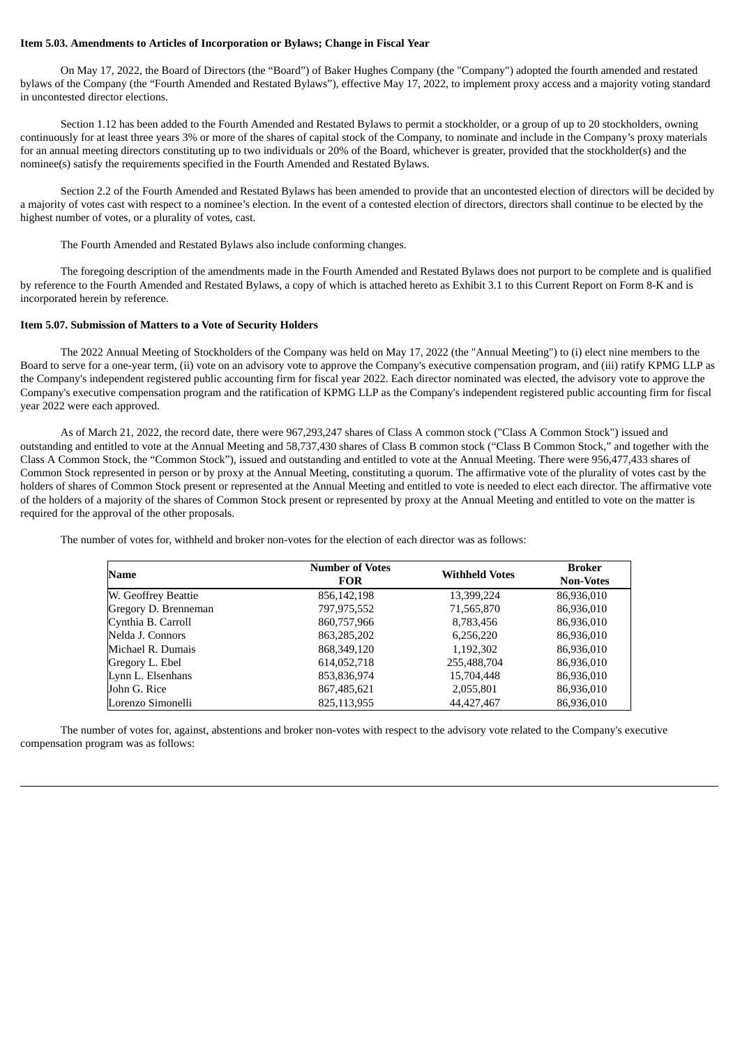#### **Item 5.03. Amendments to Articles of Incorporation or Bylaws; Change in Fiscal Year**

On May 17, 2022, the Board of Directors (the "Board") of Baker Hughes Company (the "Company") adopted the fourth amended and restated bylaws of the Company (the "Fourth Amended and Restated Bylaws"), effective May 17, 2022, to implement proxy access and a majority voting standard in uncontested director elections.

Section 1.12 has been added to the Fourth Amended and Restated Bylaws to permit a stockholder, or a group of up to 20 stockholders, owning continuously for at least three years 3% or more of the shares of capital stock of the Company, to nominate and include in the Company's proxy materials for an annual meeting directors constituting up to two individuals or 20% of the Board, whichever is greater, provided that the stockholder(s) and the nominee(s) satisfy the requirements specified in the Fourth Amended and Restated Bylaws.

Section 2.2 of the Fourth Amended and Restated Bylaws has been amended to provide that an uncontested election of directors will be decided by a majority of votes cast with respect to a nominee's election. In the event of a contested election of directors, directors shall continue to be elected by the highest number of votes, or a plurality of votes, cast.

The Fourth Amended and Restated Bylaws also include conforming changes.

The foregoing description of the amendments made in the Fourth Amended and Restated Bylaws does not purport to be complete and is qualified by reference to the Fourth Amended and Restated Bylaws, a copy of which is attached hereto as Exhibit 3.1 to this Current Report on Form 8-K and is incorporated herein by reference.

#### **Item 5.07. Submission of Matters to a Vote of Security Holders**

The 2022 Annual Meeting of Stockholders of the Company was held on May 17, 2022 (the "Annual Meeting") to (i) elect nine members to the Board to serve for a one-year term, (ii) vote on an advisory vote to approve the Company's executive compensation program, and (iii) ratify KPMG LLP as the Company's independent registered public accounting firm for fiscal year 2022. Each director nominated was elected, the advisory vote to approve the Company's executive compensation program and the ratification of KPMG LLP as the Company's independent registered public accounting firm for fiscal year 2022 were each approved.

As of March 21, 2022, the record date, there were 967,293,247 shares of Class A common stock ("Class A Common Stock") issued and outstanding and entitled to vote at the Annual Meeting and 58,737,430 shares of Class B common stock ("Class B Common Stock," and together with the Class A Common Stock, the "Common Stock"), issued and outstanding and entitled to vote at the Annual Meeting. There were 956,477,433 shares of Common Stock represented in person or by proxy at the Annual Meeting, constituting a quorum. The affirmative vote of the plurality of votes cast by the holders of shares of Common Stock present or represented at the Annual Meeting and entitled to vote is needed to elect each director. The affirmative vote of the holders of a majority of the shares of Common Stock present or represented by proxy at the Annual Meeting and entitled to vote on the matter is required for the approval of the other proposals.

The number of votes for, withheld and broker non-votes for the election of each director was as follows:

| Name                 | <b>Number of Votes</b><br><b>FOR</b> | <b>Withheld Votes</b> | <b>Broker</b><br><b>Non-Votes</b> |
|----------------------|--------------------------------------|-----------------------|-----------------------------------|
| W. Geoffrey Beattie  | 856,142,198                          | 13,399,224            | 86,936,010                        |
| Gregory D. Brenneman | 797,975,552                          | 71,565,870            | 86,936,010                        |
| Cynthia B. Carroll   | 860,757,966                          | 8,783,456             | 86,936,010                        |
| Nelda J. Connors     | 863,285,202                          | 6,256,220             | 86,936,010                        |
| Michael R. Dumais    | 868,349,120                          | 1,192,302             | 86,936,010                        |
| Gregory L. Ebel      | 614,052,718                          | 255,488,704           | 86,936,010                        |
| Lynn L. Elsenhans    | 853,836,974                          | 15,704,448            | 86,936,010                        |
| John G. Rice         | 867,485,621                          | 2,055,801             | 86,936,010                        |
| Lorenzo Simonelli    | 825,113,955                          | 44,427,467            | 86,936,010                        |

The number of votes for, against, abstentions and broker non-votes with respect to the advisory vote related to the Company's executive compensation program was as follows: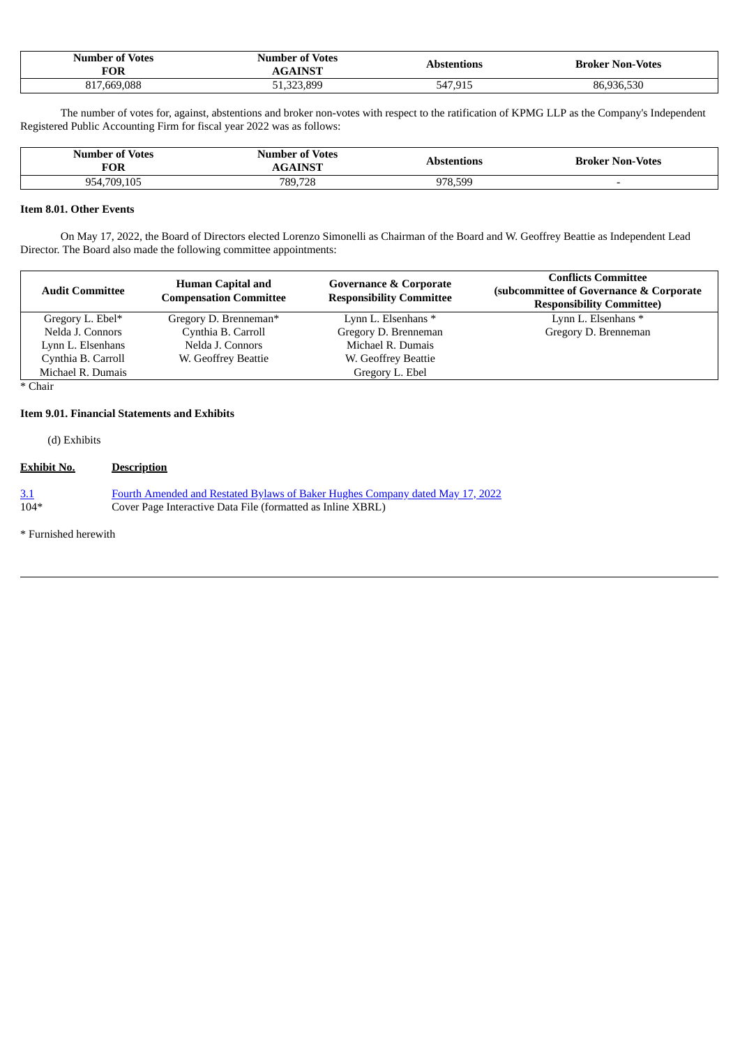| <b>Number of Votes</b><br><b>FOR</b> | <b>Number of Votes</b><br><b>AINST</b> | Abstentions  | <b>Broker Non-Votes</b> |
|--------------------------------------|----------------------------------------|--------------|-------------------------|
| 817.669.088                          | 51,323,899                             | 7,915<br>547 | 5.530                   |

The number of votes for, against, abstentions and broker non-votes with respect to the ratification of KPMG LLP as the Company's Independent Registered Public Accounting Firm for fiscal year 2022 was as follows:

| Number of Votes<br>FOR          | <b>Number of Votes</b><br><b>INCT</b> | Abstentions | <b>Broker Non-Votes</b> |
|---------------------------------|---------------------------------------|-------------|-------------------------|
| .105<br>954 709<br>$\mathbf{U}$ | 789.728                               | 599<br>07Ջ  |                         |

# **Item 8.01. Other Events**

On May 17, 2022, the Board of Directors elected Lorenzo Simonelli as Chairman of the Board and W. Geoffrey Beattie as Independent Lead Director. The Board also made the following committee appointments:

| <b>Audit Committee</b> | <b>Human Capital and</b><br><b>Compensation Committee</b> | <b>Governance &amp; Corporate</b><br><b>Responsibility Committee</b> | <b>Conflicts Committee</b><br>(subcommittee of Governance & Corporate<br><b>Responsibility Committee)</b> |
|------------------------|-----------------------------------------------------------|----------------------------------------------------------------------|-----------------------------------------------------------------------------------------------------------|
| Gregory L. Ebel*       | Gregory D. Brenneman*                                     | Lynn L. Elsenhans *                                                  | Lynn L. Elsenhans *                                                                                       |
| Nelda J. Connors       | Cynthia B. Carroll                                        | Gregory D. Brenneman                                                 | Gregory D. Brenneman                                                                                      |
| Lynn L. Elsenhans      | Nelda J. Connors                                          | Michael R. Dumais                                                    |                                                                                                           |
| Cynthia B. Carroll     | W. Geoffrey Beattie                                       | W. Geoffrey Beattie                                                  |                                                                                                           |
| Michael R. Dumais      |                                                           | Gregory L. Ebel                                                      |                                                                                                           |

\* Chair

# **Item 9.01. Financial Statements and Exhibits**

(d) Exhibits

# **Exhibit No. Description**

| 3.1    | Fourth Amended and Restated Bylaws of Baker Hughes Company dated May 17, 2022 |
|--------|-------------------------------------------------------------------------------|
| $104*$ | Cover Page Interactive Data File (formatted as Inline XBRL)                   |

\* Furnished herewith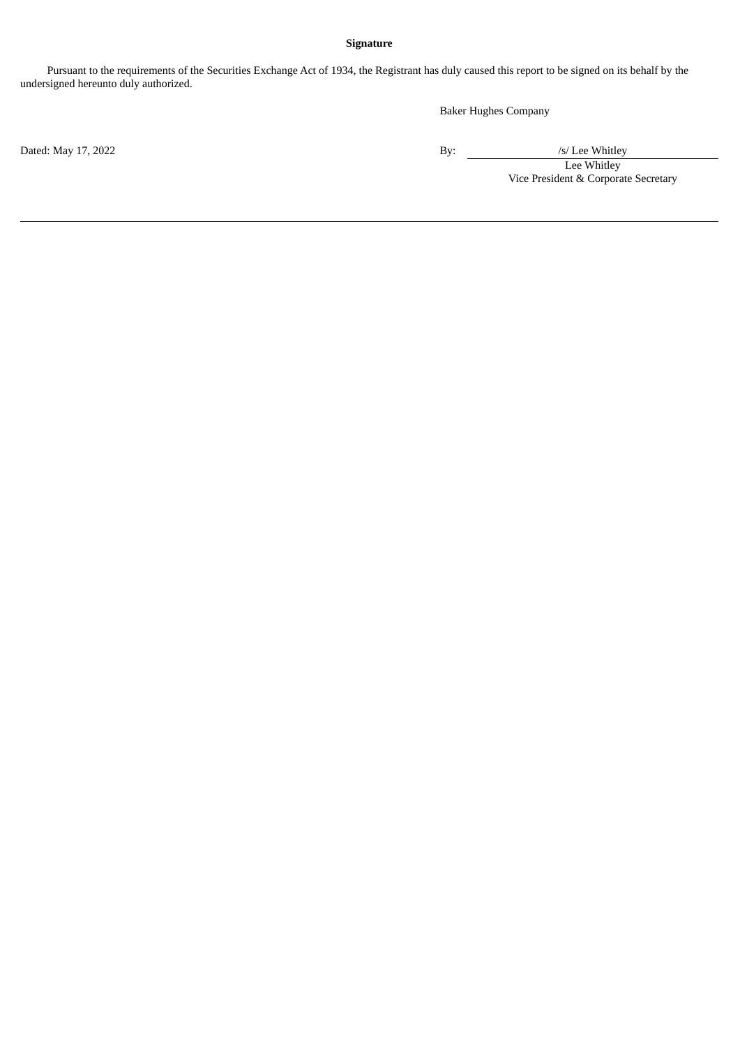# **Signature**

Pursuant to the requirements of the Securities Exchange Act of 1934, the Registrant has duly caused this report to be signed on its behalf by the undersigned hereunto duly authorized.

Baker Hughes Company

Dated: May 17, 2022 / /s/ Lee Whitley

Lee Whitley Vice President & Corporate Secretary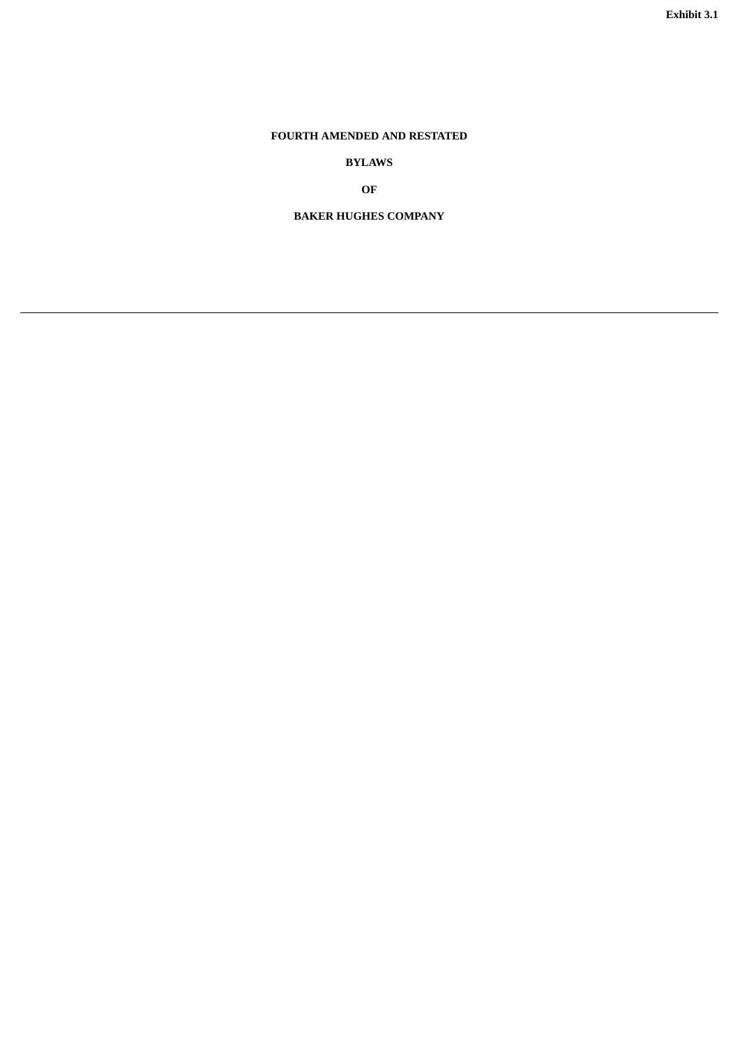# <span id="page-4-0"></span>**FOURTH AMENDED AND RESTATED**

**BYLAWS**

**OF**

**BAKER HUGHES COMPANY**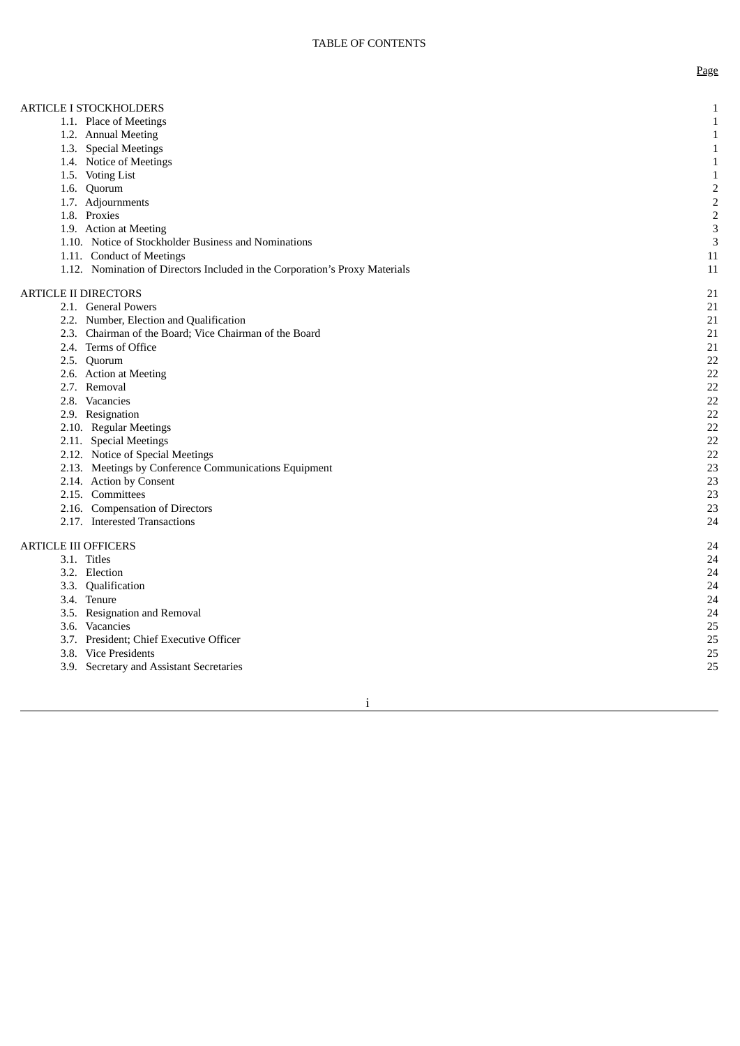# ARTICLE I STOCKHOLDERS

- 1.1. Place of Meetings
- 1.2. Annual Meeting
- 1.3. Special Meetings
- 1.4. Notice of Meetings
- 1.5. Voting List
- 1.6. Quorum
- 1.7. Adjournments 1.8. Proxies
- 1.9. Action at Meeting
- 1.10. Notice of Stockholder Business and Nominations
- 1.11. Conduct of Meetings
- 1.12. Nomination of Directors Included in the Corporation's Proxy Materials

#### ARTICLE II DIRECTORS

- 2.1. General Powers
- 2.2. Number, Election and Qualification
- 2.3. Chairman of the Board; Vice Chairman of the Board
- 2.4. Terms of Office
- 2.5. Quorum
- 2.6. Action at Meeting
- 2.7. Removal
- 2.8. Vacancies
- 2.9. Resignation
- 2.10. Regular Meetings
- 2.11. Special Meetings
- 2.12. Notice of Special Meetings
- 2.13. Meetings by Conference Communications Equipment
- 2.14. Action by Consent
- 2.15. Committees
- 2.16. Compensation of Directors
- 2.17. Interested Transactions

### ARTICLE III OFFICERS

- 3.1. Titles
	- 3.2. Election
	- 3.3. Qualification
	- 3.4. Tenure
	- 3.5. Resignation and Removal
	- 3.6. Vacancies
	- 3.7. President; Chief Executive Officer
	- 3.8. Vice Presidents
	- 3.9. Secretary and Assistant Secretaries

1

1

1

1

1

1

2

2

2

3

3

1 1

1 1

2 1

2 1

2 1

2 1

2 1

2 2

2 2

2 2

2 2

2 2

2 2

2 2

2 2

2 3

2 3

2 3

2 3

2 4

2 4

2 4

2 4

2 4

2 4

2 4

2 5

2 5

2 5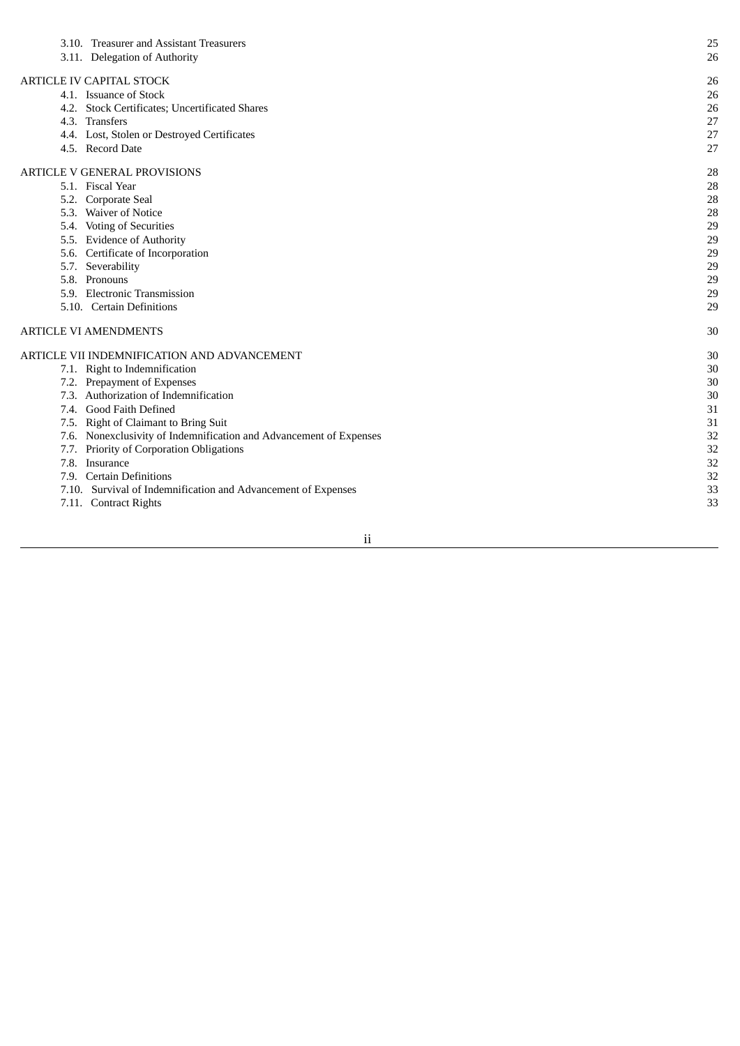| 3.10. Treasurer and Assistant Treasurers                           | 25 |
|--------------------------------------------------------------------|----|
| 3.11. Delegation of Authority                                      | 26 |
| ARTICLE IV CAPITAL STOCK                                           | 26 |
| 4.1. Issuance of Stock                                             | 26 |
| 4.2. Stock Certificates; Uncertificated Shares                     | 26 |
| 4.3. Transfers                                                     | 27 |
| 4.4. Lost, Stolen or Destroyed Certificates                        | 27 |
| 4.5. Record Date                                                   | 27 |
| ARTICLE V GENERAL PROVISIONS                                       | 28 |
| 5.1. Fiscal Year                                                   | 28 |
| 5.2. Corporate Seal                                                | 28 |
| 5.3. Waiver of Notice                                              | 28 |
| 5.4. Voting of Securities                                          | 29 |
| 5.5. Evidence of Authority                                         | 29 |
| 5.6. Certificate of Incorporation                                  | 29 |
| 5.7. Severability                                                  | 29 |
| 5.8. Pronouns                                                      | 29 |
| 5.9. Electronic Transmission                                       | 29 |
| 5.10. Certain Definitions                                          | 29 |
| ARTICLE VI AMENDMENTS                                              | 30 |
| ARTICLE VII INDEMNIFICATION AND ADVANCEMENT                        | 30 |
| 7.1. Right to Indemnification                                      | 30 |
| 7.2. Prepayment of Expenses                                        | 30 |
| 7.3. Authorization of Indemnification                              | 30 |
| 7.4. Good Faith Defined                                            | 31 |
| 7.5. Right of Claimant to Bring Suit                               | 31 |
| 7.6. Nonexclusivity of Indemnification and Advancement of Expenses | 32 |
| 7.7. Priority of Corporation Obligations                           | 32 |
| 7.8. Insurance                                                     | 32 |
| 7.9. Certain Definitions                                           | 32 |
| 7.10. Survival of Indemnification and Advancement of Expenses      | 33 |
| 7.11. Contract Rights                                              | 33 |

ii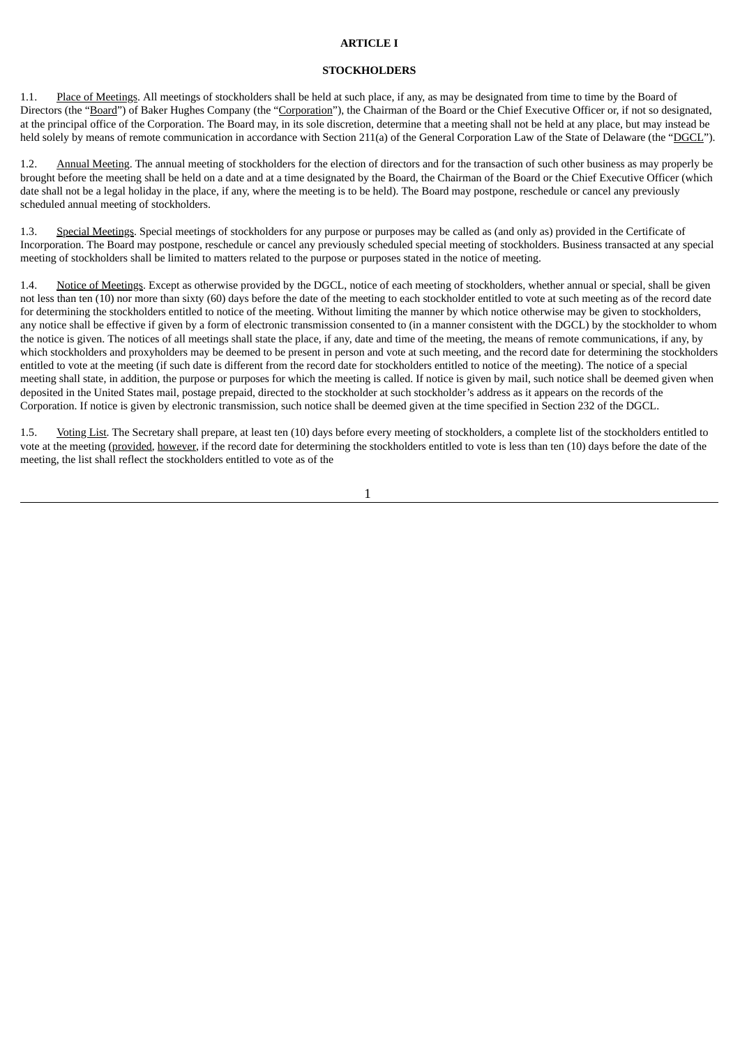### **ARTICLE I**

# **STOCKHOLDERS**

1.1. Place of Meetings. All meetings of stockholders shall be held at such place, if any, as may be designated from time to time by the Board of Directors (the "Board") of Baker Hughes Company (the "Corporation"), the Chairman of the Board or the Chief Executive Officer or, if not so designated, at the principal office of the Corporation. The Board may, in its sole discretion, determine that a meeting shall not be held at any place, but may instead be held solely by means of remote communication in accordance with Section 211(a) of the General Corporation Law of the State of Delaware (the "DGCL").

1.2. Annual Meeting. The annual meeting of stockholders for the election of directors and for the transaction of such other business as may properly be brought before the meeting shall be held on a date and at a time designated by the Board, the Chairman of the Board or the Chief Executive Officer (which date shall not be a legal holiday in the place, if any, where the meeting is to be held). The Board may postpone, reschedule or cancel any previously scheduled annual meeting of stockholders.

1.3. Special Meetings. Special meetings of stockholders for any purpose or purposes may be called as (and only as) provided in the Certificate of Incorporation. The Board may postpone, reschedule or cancel any previously scheduled special meeting of stockholders. Business transacted at any special meeting of stockholders shall be limited to matters related to the purpose or purposes stated in the notice of meeting.

1.4. Notice of Meetings. Except as otherwise provided by the DGCL, notice of each meeting of stockholders, whether annual or special, shall be given not less than ten (10) nor more than sixty (60) days before the date of the meeting to each stockholder entitled to vote at such meeting as of the record date for determining the stockholders entitled to notice of the meeting. Without limiting the manner by which notice otherwise may be given to stockholders, any notice shall be effective if given by a form of electronic transmission consented to (in a manner consistent with the DGCL) by the stockholder to whom the notice is given. The notices of all meetings shall state the place, if any, date and time of the meeting, the means of remote communications, if any, by which stockholders and proxyholders may be deemed to be present in person and vote at such meeting, and the record date for determining the stockholders entitled to vote at the meeting (if such date is different from the record date for stockholders entitled to notice of the meeting). The notice of a special meeting shall state, in addition, the purpose or purposes for which the meeting is called. If notice is given by mail, such notice shall be deemed given when deposited in the United States mail, postage prepaid, directed to the stockholder at such stockholder's address as it appears on the records of the Corporation. If notice is given by electronic transmission, such notice shall be deemed given at the time specified in Section 232 of the DGCL.

1.5. Voting List. The Secretary shall prepare, at least ten (10) days before every meeting of stockholders, a complete list of the stockholders entitled to vote at the meeting (provided, however, if the record date for determining the stockholders entitled to vote is less than ten (10) days before the date of the meeting, the list shall reflect the stockholders entitled to vote as of the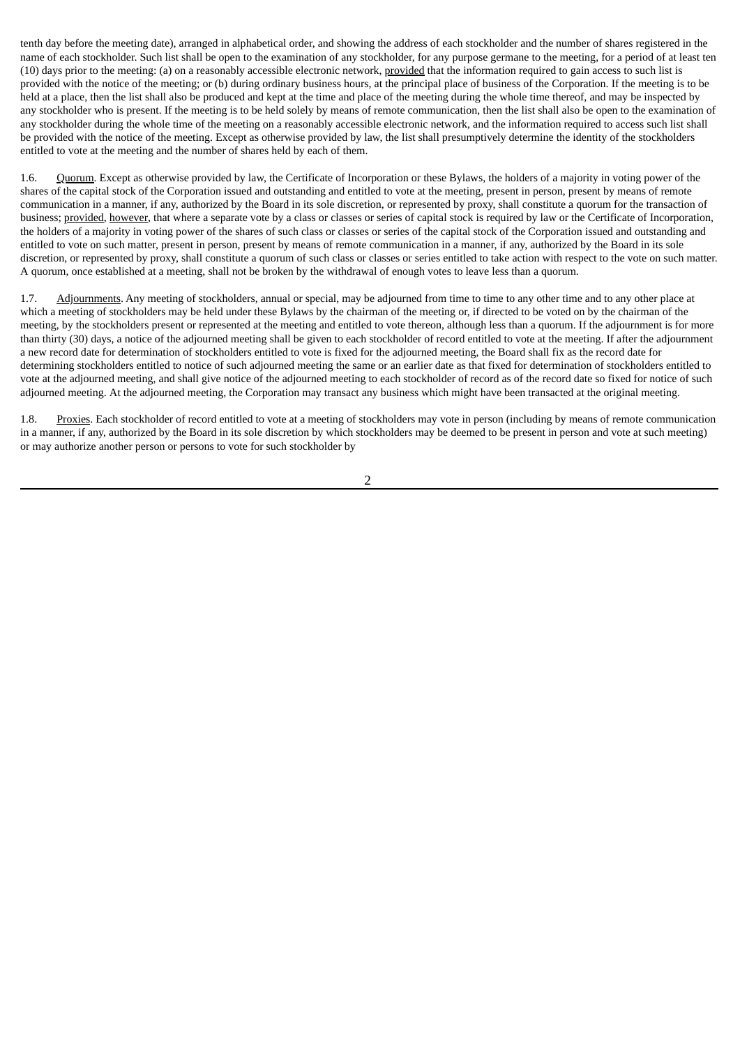tenth day before the meeting date), arranged in alphabetical order, and showing the address of each stockholder and the number of shares registered in the name of each stockholder. Such list shall be open to the examination of any stockholder, for any purpose germane to the meeting, for a period of at least ten (10) days prior to the meeting: (a) on a reasonably accessible electronic network, provided that the information required to gain access to such list is provided with the notice of the meeting; or (b) during ordinary business hours, at the principal place of business of the Corporation. If the meeting is to be held at a place, then the list shall also be produced and kept at the time and place of the meeting during the whole time thereof, and may be inspected by any stockholder who is present. If the meeting is to be held solely by means of remote communication, then the list shall also be open to the examination of any stockholder during the whole time of the meeting on a reasonably accessible electronic network, and the information required to access such list shall be provided with the notice of the meeting. Except as otherwise provided by law, the list shall presumptively determine the identity of the stockholders entitled to vote at the meeting and the number of shares held by each of them.

1.6. Quorum. Except as otherwise provided by law, the Certificate of Incorporation or these Bylaws, the holders of a majority in voting power of the shares of the capital stock of the Corporation issued and outstanding and entitled to vote at the meeting, present in person, present by means of remote communication in a manner, if any, authorized by the Board in its sole discretion, or represented by proxy, shall constitute a quorum for the transaction of business; provided, however, that where a separate vote by a class or classes or series of capital stock is required by law or the Certificate of Incorporation, the holders of a majority in voting power of the shares of such class or classes or series of the capital stock of the Corporation issued and outstanding and entitled to vote on such matter, present in person, present by means of remote communication in a manner, if any, authorized by the Board in its sole discretion, or represented by proxy, shall constitute a quorum of such class or classes or series entitled to take action with respect to the vote on such matter. A quorum, once established at a meeting, shall not be broken by the withdrawal of enough votes to leave less than a quorum.

1.7. Adjournments. Any meeting of stockholders, annual or special, may be adjourned from time to time to any other time and to any other place at which a meeting of stockholders may be held under these Bylaws by the chairman of the meeting or, if directed to be voted on by the chairman of the meeting, by the stockholders present or represented at the meeting and entitled to vote thereon, although less than a quorum. If the adjournment is for more than thirty (30) days, a notice of the adjourned meeting shall be given to each stockholder of record entitled to vote at the meeting. If after the adjournment a new record date for determination of stockholders entitled to vote is fixed for the adjourned meeting, the Board shall fix as the record date for determining stockholders entitled to notice of such adjourned meeting the same or an earlier date as that fixed for determination of stockholders entitled to vote at the adjourned meeting, and shall give notice of the adjourned meeting to each stockholder of record as of the record date so fixed for notice of such adjourned meeting. At the adjourned meeting, the Corporation may transact any business which might have been transacted at the original meeting.

1.8. Proxies. Each stockholder of record entitled to vote at a meeting of stockholders may vote in person (including by means of remote communication in a manner, if any, authorized by the Board in its sole discretion by which stockholders may be deemed to be present in person and vote at such meeting) or may authorize another person or persons to vote for such stockholder by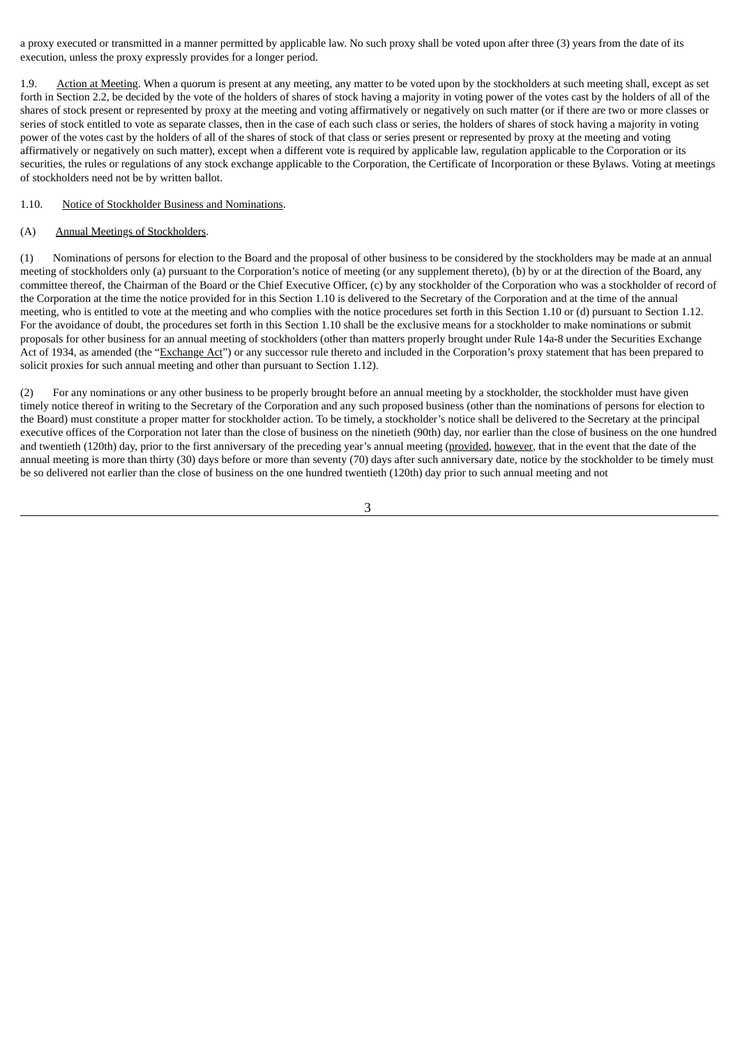a proxy executed or transmitted in a manner permitted by applicable law. No such proxy shall be voted upon after three (3) years from the date of its execution, unless the proxy expressly provides for a longer period.

1.9. Action at Meeting. When a quorum is present at any meeting, any matter to be voted upon by the stockholders at such meeting shall, except as set forth in Section 2.2, be decided by the vote of the holders of shares of stock having a majority in voting power of the votes cast by the holders of all of the shares of stock present or represented by proxy at the meeting and voting affirmatively or negatively on such matter (or if there are two or more classes or series of stock entitled to vote as separate classes, then in the case of each such class or series, the holders of shares of stock having a majority in voting power of the votes cast by the holders of all of the shares of stock of that class or series present or represented by proxy at the meeting and voting affirmatively or negatively on such matter), except when a different vote is required by applicable law, regulation applicable to the Corporation or its securities, the rules or regulations of any stock exchange applicable to the Corporation, the Certificate of Incorporation or these Bylaws. Voting at meetings of stockholders need not be by written ballot.

#### 1.10. Notice of Stockholder Business and Nominations.

# (A) Annual Meetings of Stockholders.

(1) Nominations of persons for election to the Board and the proposal of other business to be considered by the stockholders may be made at an annual meeting of stockholders only (a) pursuant to the Corporation's notice of meeting (or any supplement thereto), (b) by or at the direction of the Board, any committee thereof, the Chairman of the Board or the Chief Executive Officer, (c) by any stockholder of the Corporation who was a stockholder of record of the Corporation at the time the notice provided for in this Section 1.10 is delivered to the Secretary of the Corporation and at the time of the annual meeting, who is entitled to vote at the meeting and who complies with the notice procedures set forth in this Section 1.10 or (d) pursuant to Section 1.12. For the avoidance of doubt, the procedures set forth in this Section 1.10 shall be the exclusive means for a stockholder to make nominations or submit proposals for other business for an annual meeting of stockholders (other than matters properly brought under Rule 14a-8 under the Securities Exchange Act of 1934, as amended (the "Exchange Act") or any successor rule thereto and included in the Corporation's proxy statement that has been prepared to solicit proxies for such annual meeting and other than pursuant to Section 1.12).

(2) For any nominations or any other business to be properly brought before an annual meeting by a stockholder, the stockholder must have given timely notice thereof in writing to the Secretary of the Corporation and any such proposed business (other than the nominations of persons for election to the Board) must constitute a proper matter for stockholder action. To be timely, a stockholder's notice shall be delivered to the Secretary at the principal executive offices of the Corporation not later than the close of business on the ninetieth (90th) day, nor earlier than the close of business on the one hundred and twentieth (120th) day, prior to the first anniversary of the preceding year's annual meeting (provided, however, that in the event that the date of the annual meeting is more than thirty (30) days before or more than seventy (70) days after such anniversary date, notice by the stockholder to be timely must be so delivered not earlier than the close of business on the one hundred twentieth (120th) day prior to such annual meeting and not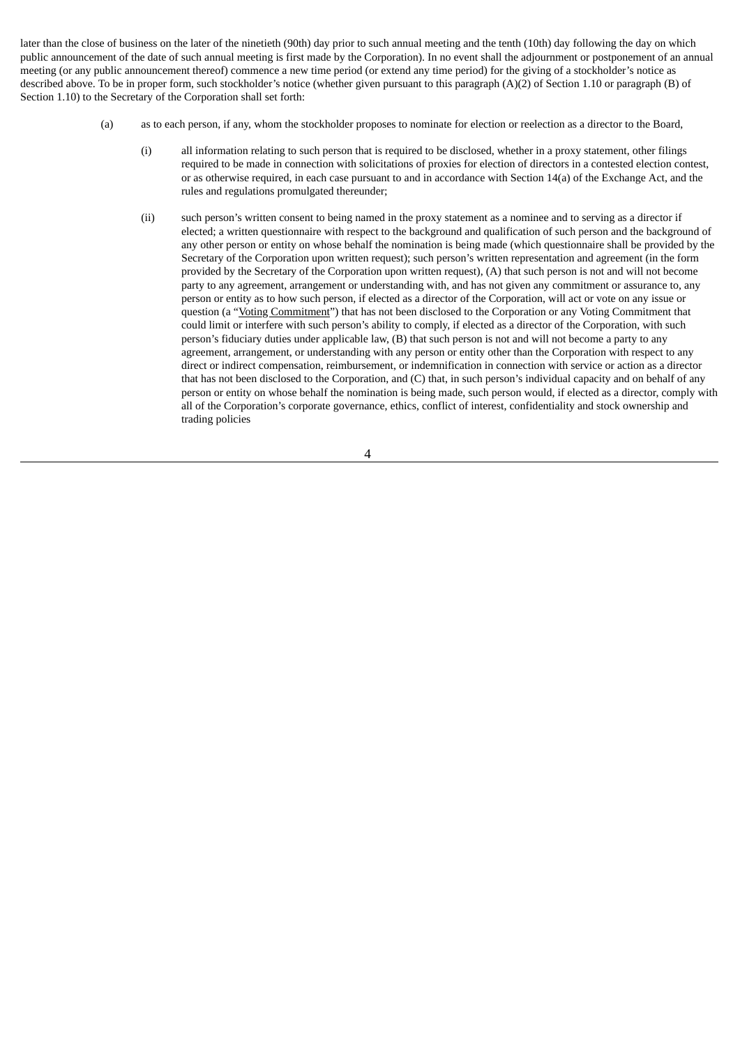later than the close of business on the later of the ninetieth (90th) day prior to such annual meeting and the tenth (10th) day following the day on which public announcement of the date of such annual meeting is first made by the Corporation). In no event shall the adjournment or postponement of an annual meeting (or any public announcement thereof) commence a new time period (or extend any time period) for the giving of a stockholder's notice as described above. To be in proper form, such stockholder's notice (whether given pursuant to this paragraph (A)(2) of Section 1.10 or paragraph (B) of Section 1.10) to the Secretary of the Corporation shall set forth:

- (a) as to each person, if any, whom the stockholder proposes to nominate for election or reelection as a director to the Board,
	- (i) all information relating to such person that is required to be disclosed, whether in a proxy statement, other filings required to be made in connection with solicitations of proxies for election of directors in a contested election contest, or as otherwise required, in each case pursuant to and in accordance with Section 14(a) of the Exchange Act, and the rules and regulations promulgated thereunder;
	- (ii) such person's written consent to being named in the proxy statement as a nominee and to serving as a director if elected; a written questionnaire with respect to the background and qualification of such person and the background of any other person or entity on whose behalf the nomination is being made (which questionnaire shall be provided by the Secretary of the Corporation upon written request); such person's written representation and agreement (in the form provided by the Secretary of the Corporation upon written request), (A) that such person is not and will not become party to any agreement, arrangement or understanding with, and has not given any commitment or assurance to, any person or entity as to how such person, if elected as a director of the Corporation, will act or vote on any issue or question (a "<u>Voting Commitment</u>") that has not been disclosed to the Corporation or any Voting Commitment that could limit or interfere with such person's ability to comply, if elected as a director of the Corporation, with such person's fiduciary duties under applicable law, (B) that such person is not and will not become a party to any agreement, arrangement, or understanding with any person or entity other than the Corporation with respect to any direct or indirect compensation, reimbursement, or indemnification in connection with service or action as a director that has not been disclosed to the Corporation, and (C) that, in such person's individual capacity and on behalf of any person or entity on whose behalf the nomination is being made, such person would, if elected as a director, comply with all of the Corporation's corporate governance, ethics, conflict of interest, confidentiality and stock ownership and trading policies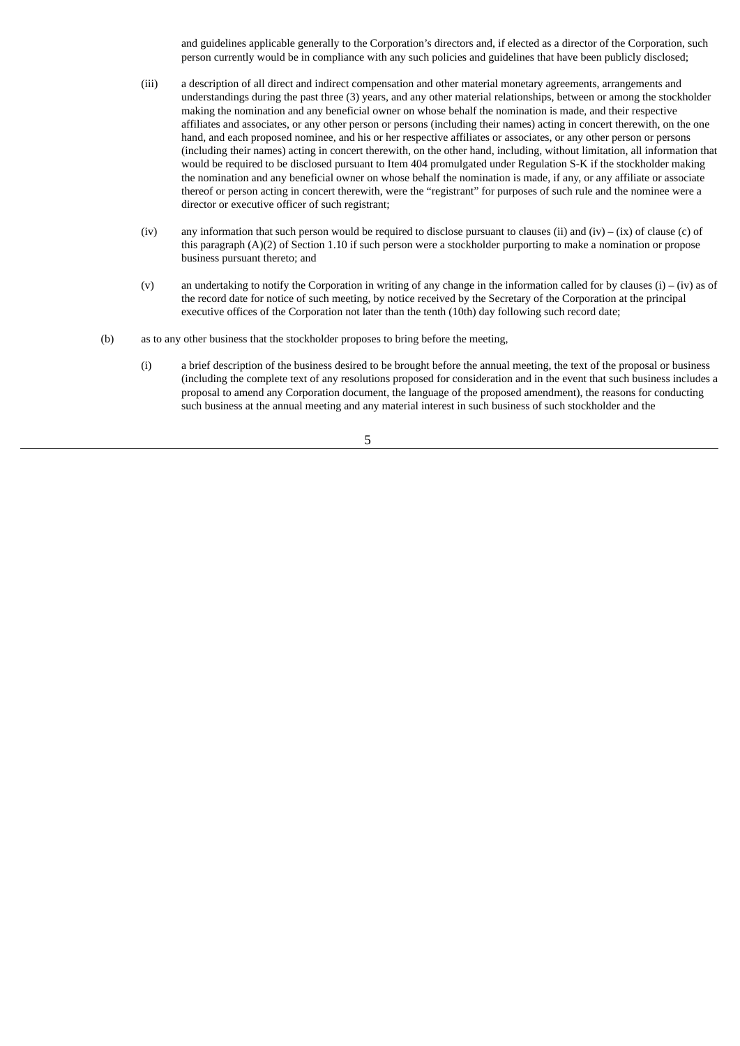and guidelines applicable generally to the Corporation's directors and, if elected as a director of the Corporation, such person currently would be in compliance with any such policies and guidelines that have been publicly disclosed;

- (iii) a description of all direct and indirect compensation and other material monetary agreements, arrangements and understandings during the past three (3) years, and any other material relationships, between or among the stockholder making the nomination and any beneficial owner on whose behalf the nomination is made, and their respective affiliates and associates, or any other person or persons (including their names) acting in concert therewith, on the one hand, and each proposed nominee, and his or her respective affiliates or associates, or any other person or persons (including their names) acting in concert therewith, on the other hand, including, without limitation, all information that would be required to be disclosed pursuant to Item 404 promulgated under Regulation S-K if the stockholder making the nomination and any beneficial owner on whose behalf the nomination is made, if any, or any affiliate or associate thereof or person acting in concert therewith, were the "registrant" for purposes of such rule and the nominee were a director or executive officer of such registrant;
- (iv) any information that such person would be required to disclose pursuant to clauses (ii) and (iv) (ix) of clause (c) of this paragraph (A)(2) of Section 1.10 if such person were a stockholder purporting to make a nomination or propose business pursuant thereto; and
- (v) an undertaking to notify the Corporation in writing of any change in the information called for by clauses  $(i) (iv)$  as of the record date for notice of such meeting, by notice received by the Secretary of the Corporation at the principal executive offices of the Corporation not later than the tenth (10th) day following such record date;
- (b) as to any other business that the stockholder proposes to bring before the meeting,
	- (i) a brief description of the business desired to be brought before the annual meeting, the text of the proposal or business (including the complete text of any resolutions proposed for consideration and in the event that such business includes a proposal to amend any Corporation document, the language of the proposed amendment), the reasons for conducting such business at the annual meeting and any material interest in such business of such stockholder and the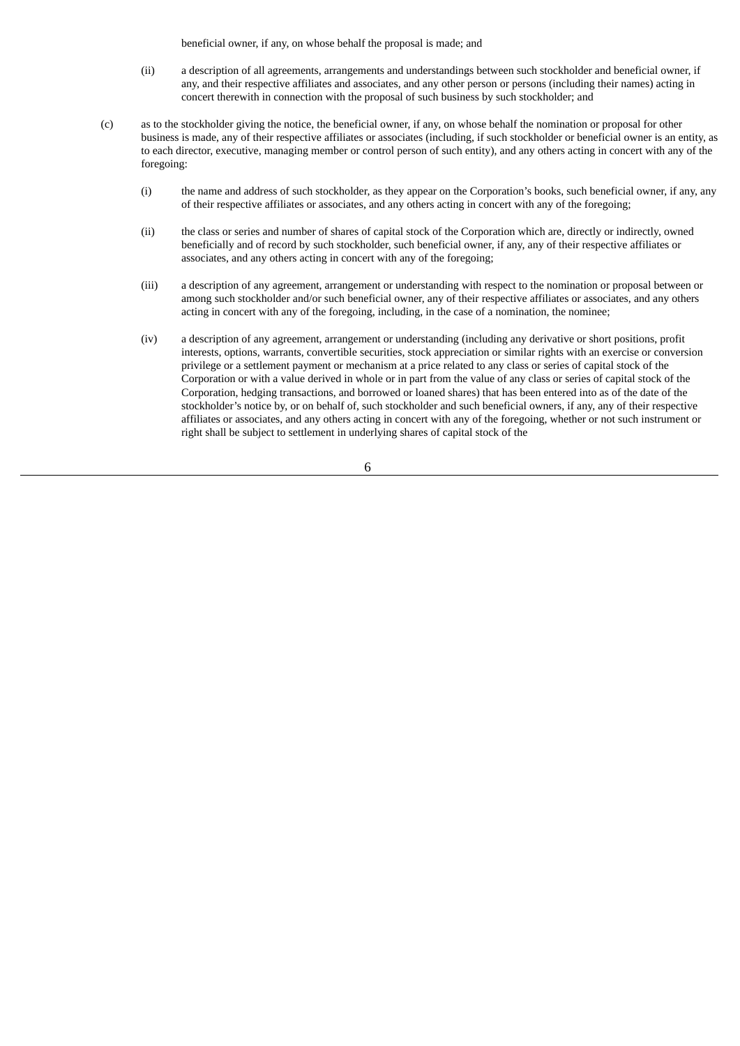beneficial owner, if any, on whose behalf the proposal is made; and

- (ii) a description of all agreements, arrangements and understandings between such stockholder and beneficial owner, if any, and their respective affiliates and associates, and any other person or persons (including their names) acting in concert therewith in connection with the proposal of such business by such stockholder; and
- (c) as to the stockholder giving the notice, the beneficial owner, if any, on whose behalf the nomination or proposal for other business is made, any of their respective affiliates or associates (including, if such stockholder or beneficial owner is an entity, as to each director, executive, managing member or control person of such entity), and any others acting in concert with any of the foregoing:
	- (i) the name and address of such stockholder, as they appear on the Corporation's books, such beneficial owner, if any, any of their respective affiliates or associates, and any others acting in concert with any of the foregoing;
	- (ii) the class or series and number of shares of capital stock of the Corporation which are, directly or indirectly, owned beneficially and of record by such stockholder, such beneficial owner, if any, any of their respective affiliates or associates, and any others acting in concert with any of the foregoing;
	- (iii) a description of any agreement, arrangement or understanding with respect to the nomination or proposal between or among such stockholder and/or such beneficial owner, any of their respective affiliates or associates, and any others acting in concert with any of the foregoing, including, in the case of a nomination, the nominee;
	- (iv) a description of any agreement, arrangement or understanding (including any derivative or short positions, profit interests, options, warrants, convertible securities, stock appreciation or similar rights with an exercise or conversion privilege or a settlement payment or mechanism at a price related to any class or series of capital stock of the Corporation or with a value derived in whole or in part from the value of any class or series of capital stock of the Corporation, hedging transactions, and borrowed or loaned shares) that has been entered into as of the date of the stockholder's notice by, or on behalf of, such stockholder and such beneficial owners, if any, any of their respective affiliates or associates, and any others acting in concert with any of the foregoing, whether or not such instrument or right shall be subject to settlement in underlying shares of capital stock of the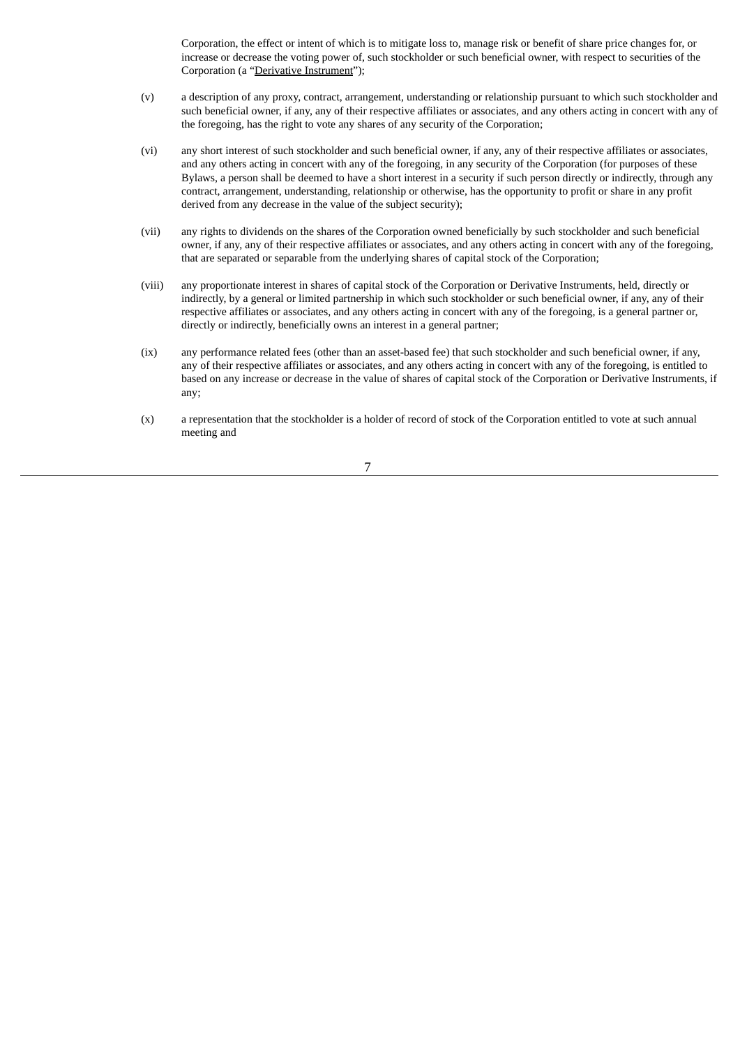Corporation, the effect or intent of which is to mitigate loss to, manage risk or benefit of share price changes for, or increase or decrease the voting power of, such stockholder or such beneficial owner, with respect to securities of the Corporation (a "Derivative Instrument");

- (v) a description of any proxy, contract, arrangement, understanding or relationship pursuant to which such stockholder and such beneficial owner, if any, any of their respective affiliates or associates, and any others acting in concert with any of the foregoing, has the right to vote any shares of any security of the Corporation;
- (vi) any short interest of such stockholder and such beneficial owner, if any, any of their respective affiliates or associates, and any others acting in concert with any of the foregoing, in any security of the Corporation (for purposes of these Bylaws, a person shall be deemed to have a short interest in a security if such person directly or indirectly, through any contract, arrangement, understanding, relationship or otherwise, has the opportunity to profit or share in any profit derived from any decrease in the value of the subject security);
- (vii) any rights to dividends on the shares of the Corporation owned beneficially by such stockholder and such beneficial owner, if any, any of their respective affiliates or associates, and any others acting in concert with any of the foregoing, that are separated or separable from the underlying shares of capital stock of the Corporation;
- (viii) any proportionate interest in shares of capital stock of the Corporation or Derivative Instruments, held, directly or indirectly, by a general or limited partnership in which such stockholder or such beneficial owner, if any, any of their respective affiliates or associates, and any others acting in concert with any of the foregoing, is a general partner or, directly or indirectly, beneficially owns an interest in a general partner;
- (ix) any performance related fees (other than an asset-based fee) that such stockholder and such beneficial owner, if any, any of their respective affiliates or associates, and any others acting in concert with any of the foregoing, is entitled to based on any increase or decrease in the value of shares of capital stock of the Corporation or Derivative Instruments, if any;
- (x) a representation that the stockholder is a holder of record of stock of the Corporation entitled to vote at such annual meeting and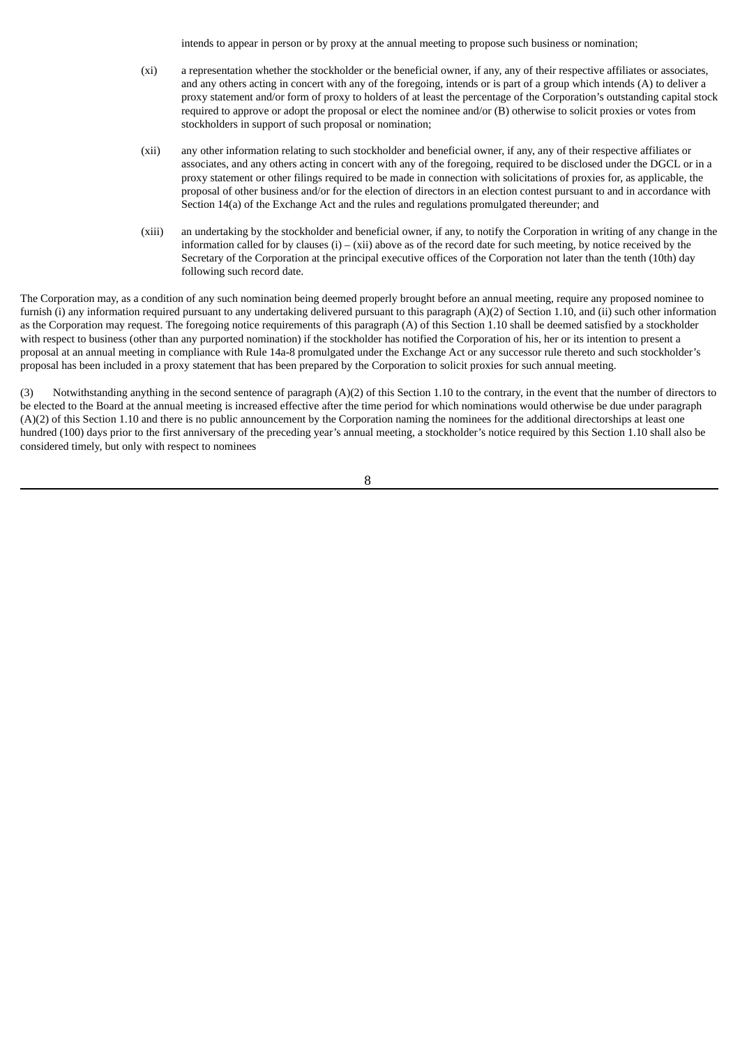intends to appear in person or by proxy at the annual meeting to propose such business or nomination;

- (xi) a representation whether the stockholder or the beneficial owner, if any, any of their respective affiliates or associates, and any others acting in concert with any of the foregoing, intends or is part of a group which intends (A) to deliver a proxy statement and/or form of proxy to holders of at least the percentage of the Corporation's outstanding capital stock required to approve or adopt the proposal or elect the nominee and/or (B) otherwise to solicit proxies or votes from stockholders in support of such proposal or nomination;
- (xii) any other information relating to such stockholder and beneficial owner, if any, any of their respective affiliates or associates, and any others acting in concert with any of the foregoing, required to be disclosed under the DGCL or in a proxy statement or other filings required to be made in connection with solicitations of proxies for, as applicable, the proposal of other business and/or for the election of directors in an election contest pursuant to and in accordance with Section 14(a) of the Exchange Act and the rules and regulations promulgated thereunder; and
- (xiii) an undertaking by the stockholder and beneficial owner, if any, to notify the Corporation in writing of any change in the information called for by clauses  $(i) - (xii)$  above as of the record date for such meeting, by notice received by the Secretary of the Corporation at the principal executive offices of the Corporation not later than the tenth (10th) day following such record date.

The Corporation may, as a condition of any such nomination being deemed properly brought before an annual meeting, require any proposed nominee to furnish (i) any information required pursuant to any undertaking delivered pursuant to this paragraph (A)(2) of Section 1.10, and (ii) such other information as the Corporation may request. The foregoing notice requirements of this paragraph (A) of this Section 1.10 shall be deemed satisfied by a stockholder with respect to business (other than any purported nomination) if the stockholder has notified the Corporation of his, her or its intention to present a proposal at an annual meeting in compliance with Rule 14a-8 promulgated under the Exchange Act or any successor rule thereto and such stockholder's proposal has been included in a proxy statement that has been prepared by the Corporation to solicit proxies for such annual meeting.

(3) Notwithstanding anything in the second sentence of paragraph  $(A)(2)$  of this Section 1.10 to the contrary, in the event that the number of directors to be elected to the Board at the annual meeting is increased effective after the time period for which nominations would otherwise be due under paragraph (A)(2) of this Section 1.10 and there is no public announcement by the Corporation naming the nominees for the additional directorships at least one hundred (100) days prior to the first anniversary of the preceding year's annual meeting, a stockholder's notice required by this Section 1.10 shall also be considered timely, but only with respect to nominees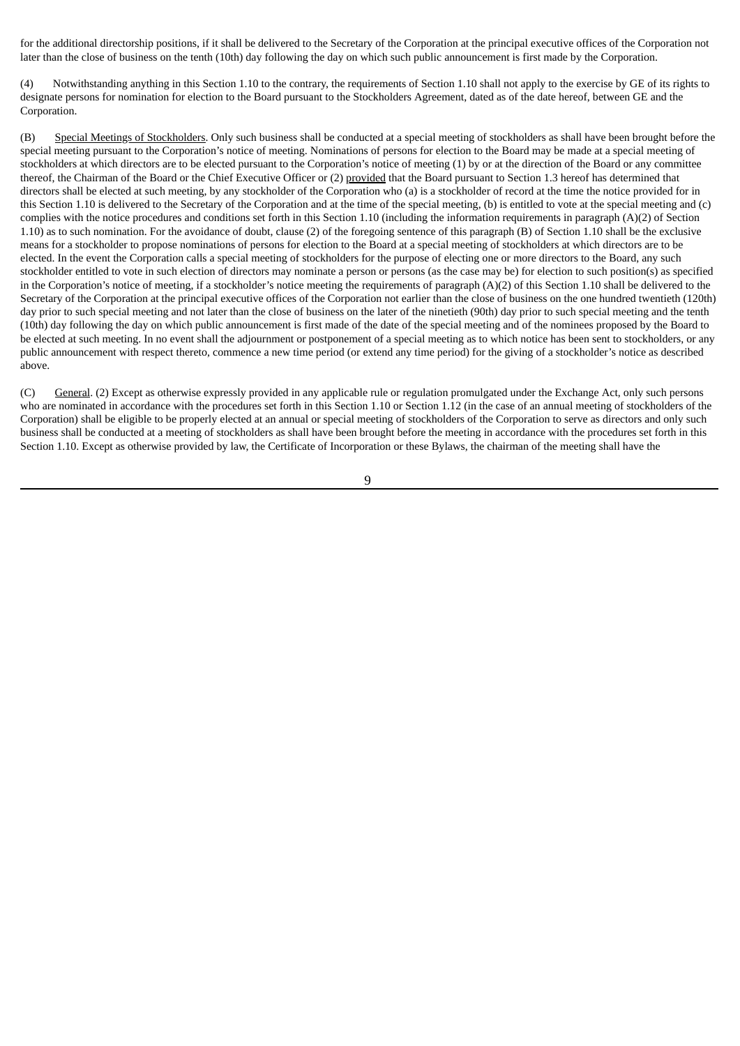for the additional directorship positions, if it shall be delivered to the Secretary of the Corporation at the principal executive offices of the Corporation not later than the close of business on the tenth (10th) day following the day on which such public announcement is first made by the Corporation.

(4) Notwithstanding anything in this Section 1.10 to the contrary, the requirements of Section 1.10 shall not apply to the exercise by GE of its rights to designate persons for nomination for election to the Board pursuant to the Stockholders Agreement, dated as of the date hereof, between GE and the Corporation.

(B) Special Meetings of Stockholders. Only such business shall be conducted at a special meeting of stockholders as shall have been brought before the special meeting pursuant to the Corporation's notice of meeting. Nominations of persons for election to the Board may be made at a special meeting of stockholders at which directors are to be elected pursuant to the Corporation's notice of meeting (1) by or at the direction of the Board or any committee thereof, the Chairman of the Board or the Chief Executive Officer or (2) provided that the Board pursuant to Section 1.3 hereof has determined that directors shall be elected at such meeting, by any stockholder of the Corporation who (a) is a stockholder of record at the time the notice provided for in this Section 1.10 is delivered to the Secretary of the Corporation and at the time of the special meeting, (b) is entitled to vote at the special meeting and (c) complies with the notice procedures and conditions set forth in this Section 1.10 (including the information requirements in paragraph (A)(2) of Section 1.10) as to such nomination. For the avoidance of doubt, clause (2) of the foregoing sentence of this paragraph (B) of Section 1.10 shall be the exclusive means for a stockholder to propose nominations of persons for election to the Board at a special meeting of stockholders at which directors are to be elected. In the event the Corporation calls a special meeting of stockholders for the purpose of electing one or more directors to the Board, any such stockholder entitled to vote in such election of directors may nominate a person or persons (as the case may be) for election to such position(s) as specified in the Corporation's notice of meeting, if a stockholder's notice meeting the requirements of paragraph (A)(2) of this Section 1.10 shall be delivered to the Secretary of the Corporation at the principal executive offices of the Corporation not earlier than the close of business on the one hundred twentieth (120th) day prior to such special meeting and not later than the close of business on the later of the ninetieth (90th) day prior to such special meeting and the tenth (10th) day following the day on which public announcement is first made of the date of the special meeting and of the nominees proposed by the Board to be elected at such meeting. In no event shall the adjournment or postponement of a special meeting as to which notice has been sent to stockholders, or any public announcement with respect thereto, commence a new time period (or extend any time period) for the giving of a stockholder's notice as described above.

(C) General. (2) Except as otherwise expressly provided in any applicable rule or regulation promulgated under the Exchange Act, only such persons who are nominated in accordance with the procedures set forth in this Section 1.10 or Section 1.12 (in the case of an annual meeting of stockholders of the Corporation) shall be eligible to be properly elected at an annual or special meeting of stockholders of the Corporation to serve as directors and only such business shall be conducted at a meeting of stockholders as shall have been brought before the meeting in accordance with the procedures set forth in this Section 1.10. Except as otherwise provided by law, the Certificate of Incorporation or these Bylaws, the chairman of the meeting shall have the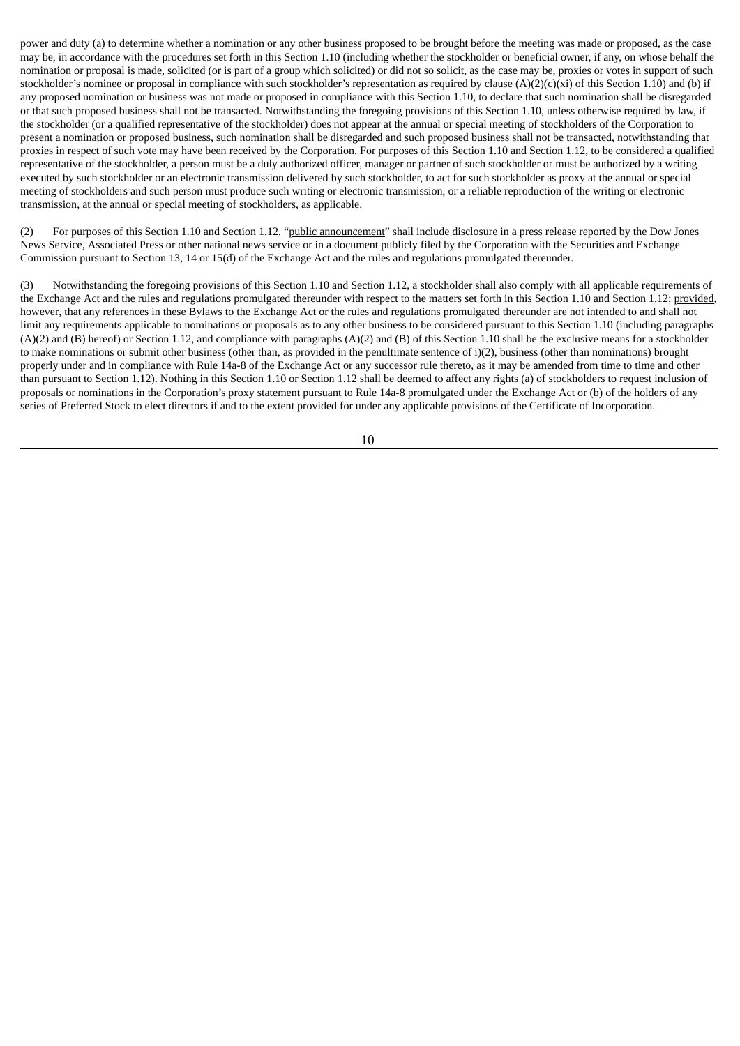power and duty (a) to determine whether a nomination or any other business proposed to be brought before the meeting was made or proposed, as the case may be, in accordance with the procedures set forth in this Section 1.10 (including whether the stockholder or beneficial owner, if any, on whose behalf the nomination or proposal is made, solicited (or is part of a group which solicited) or did not so solicit, as the case may be, proxies or votes in support of such stockholder's nominee or proposal in compliance with such stockholder's representation as required by clause  $(A)(2)(c)(xi)$  of this Section 1.10) and (b) if any proposed nomination or business was not made or proposed in compliance with this Section 1.10, to declare that such nomination shall be disregarded or that such proposed business shall not be transacted. Notwithstanding the foregoing provisions of this Section 1.10, unless otherwise required by law, if the stockholder (or a qualified representative of the stockholder) does not appear at the annual or special meeting of stockholders of the Corporation to present a nomination or proposed business, such nomination shall be disregarded and such proposed business shall not be transacted, notwithstanding that proxies in respect of such vote may have been received by the Corporation. For purposes of this Section 1.10 and Section 1.12, to be considered a qualified representative of the stockholder, a person must be a duly authorized officer, manager or partner of such stockholder or must be authorized by a writing executed by such stockholder or an electronic transmission delivered by such stockholder, to act for such stockholder as proxy at the annual or special meeting of stockholders and such person must produce such writing or electronic transmission, or a reliable reproduction of the writing or electronic transmission, at the annual or special meeting of stockholders, as applicable.

(2) For purposes of this Section 1.10 and Section 1.12, "public announcement" shall include disclosure in a press release reported by the Dow Jones News Service, Associated Press or other national news service or in a document publicly filed by the Corporation with the Securities and Exchange Commission pursuant to Section 13, 14 or 15(d) of the Exchange Act and the rules and regulations promulgated thereunder.

(3) Notwithstanding the foregoing provisions of this Section 1.10 and Section 1.12, a stockholder shall also comply with all applicable requirements of the Exchange Act and the rules and regulations promulgated thereunder with respect to the matters set forth in this Section 1.10 and Section 1.12; provided, however, that any references in these Bylaws to the Exchange Act or the rules and regulations promulgated thereunder are not intended to and shall not limit any requirements applicable to nominations or proposals as to any other business to be considered pursuant to this Section 1.10 (including paragraphs (A)(2) and (B) hereof) or Section 1.12, and compliance with paragraphs (A)(2) and (B) of this Section 1.10 shall be the exclusive means for a stockholder to make nominations or submit other business (other than, as provided in the penultimate sentence of i)(2), business (other than nominations) brought properly under and in compliance with Rule 14a-8 of the Exchange Act or any successor rule thereto, as it may be amended from time to time and other than pursuant to Section 1.12). Nothing in this Section 1.10 or Section 1.12 shall be deemed to affect any rights (a) of stockholders to request inclusion of proposals or nominations in the Corporation's proxy statement pursuant to Rule 14a-8 promulgated under the Exchange Act or (b) of the holders of any series of Preferred Stock to elect directors if and to the extent provided for under any applicable provisions of the Certificate of Incorporation.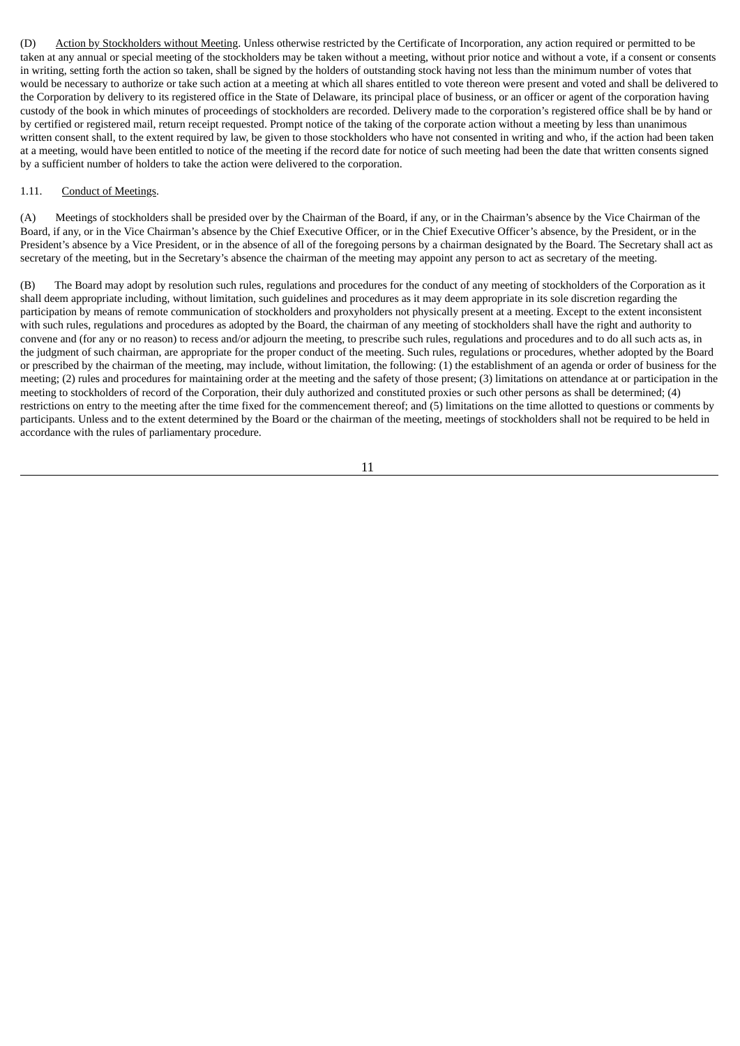(D) Action by Stockholders without Meeting. Unless otherwise restricted by the Certificate of Incorporation, any action required or permitted to be taken at any annual or special meeting of the stockholders may be taken without a meeting, without prior notice and without a vote, if a consent or consents in writing, setting forth the action so taken, shall be signed by the holders of outstanding stock having not less than the minimum number of votes that would be necessary to authorize or take such action at a meeting at which all shares entitled to vote thereon were present and voted and shall be delivered to the Corporation by delivery to its registered office in the State of Delaware, its principal place of business, or an officer or agent of the corporation having custody of the book in which minutes of proceedings of stockholders are recorded. Delivery made to the corporation's registered office shall be by hand or by certified or registered mail, return receipt requested. Prompt notice of the taking of the corporate action without a meeting by less than unanimous written consent shall, to the extent required by law, be given to those stockholders who have not consented in writing and who, if the action had been taken at a meeting, would have been entitled to notice of the meeting if the record date for notice of such meeting had been the date that written consents signed by a sufficient number of holders to take the action were delivered to the corporation.

#### 1.11. Conduct of Meetings.

(A) Meetings of stockholders shall be presided over by the Chairman of the Board, if any, or in the Chairman's absence by the Vice Chairman of the Board, if any, or in the Vice Chairman's absence by the Chief Executive Officer, or in the Chief Executive Officer's absence, by the President, or in the President's absence by a Vice President, or in the absence of all of the foregoing persons by a chairman designated by the Board. The Secretary shall act as secretary of the meeting, but in the Secretary's absence the chairman of the meeting may appoint any person to act as secretary of the meeting.

(B) The Board may adopt by resolution such rules, regulations and procedures for the conduct of any meeting of stockholders of the Corporation as it shall deem appropriate including, without limitation, such guidelines and procedures as it may deem appropriate in its sole discretion regarding the participation by means of remote communication of stockholders and proxyholders not physically present at a meeting. Except to the extent inconsistent with such rules, regulations and procedures as adopted by the Board, the chairman of any meeting of stockholders shall have the right and authority to convene and (for any or no reason) to recess and/or adjourn the meeting, to prescribe such rules, regulations and procedures and to do all such acts as, in the judgment of such chairman, are appropriate for the proper conduct of the meeting. Such rules, regulations or procedures, whether adopted by the Board or prescribed by the chairman of the meeting, may include, without limitation, the following: (1) the establishment of an agenda or order of business for the meeting; (2) rules and procedures for maintaining order at the meeting and the safety of those present; (3) limitations on attendance at or participation in the meeting to stockholders of record of the Corporation, their duly authorized and constituted proxies or such other persons as shall be determined; (4) restrictions on entry to the meeting after the time fixed for the commencement thereof; and (5) limitations on the time allotted to questions or comments by participants. Unless and to the extent determined by the Board or the chairman of the meeting, meetings of stockholders shall not be required to be held in accordance with the rules of parliamentary procedure.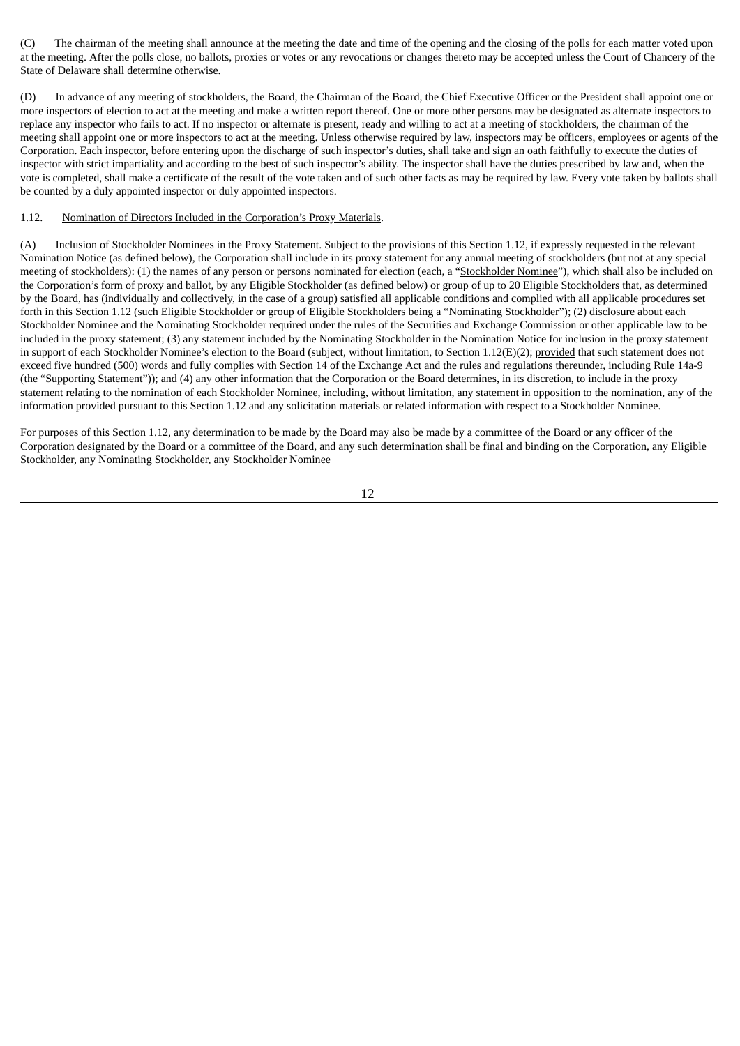(C) The chairman of the meeting shall announce at the meeting the date and time of the opening and the closing of the polls for each matter voted upon at the meeting. After the polls close, no ballots, proxies or votes or any revocations or changes thereto may be accepted unless the Court of Chancery of the State of Delaware shall determine otherwise.

(D) In advance of any meeting of stockholders, the Board, the Chairman of the Board, the Chief Executive Officer or the President shall appoint one or more inspectors of election to act at the meeting and make a written report thereof. One or more other persons may be designated as alternate inspectors to replace any inspector who fails to act. If no inspector or alternate is present, ready and willing to act at a meeting of stockholders, the chairman of the meeting shall appoint one or more inspectors to act at the meeting. Unless otherwise required by law, inspectors may be officers, employees or agents of the Corporation. Each inspector, before entering upon the discharge of such inspector's duties, shall take and sign an oath faithfully to execute the duties of inspector with strict impartiality and according to the best of such inspector's ability. The inspector shall have the duties prescribed by law and, when the vote is completed, shall make a certificate of the result of the vote taken and of such other facts as may be required by law. Every vote taken by ballots shall be counted by a duly appointed inspector or duly appointed inspectors.

# 1.12. Nomination of Directors Included in the Corporation's Proxy Materials.

(A) Inclusion of Stockholder Nominees in the Proxy Statement. Subject to the provisions of this Section 1.12, if expressly requested in the relevant Nomination Notice (as defined below), the Corporation shall include in its proxy statement for any annual meeting of stockholders (but not at any special meeting of stockholders): (1) the names of any person or persons nominated for election (each, a "Stockholder Nominee"), which shall also be included on the Corporation's form of proxy and ballot, by any Eligible Stockholder (as defined below) or group of up to 20 Eligible Stockholders that, as determined by the Board, has (individually and collectively, in the case of a group) satisfied all applicable conditions and complied with all applicable procedures set forth in this Section 1.12 (such Eligible Stockholder or group of Eligible Stockholders being a "Nominating Stockholder"); (2) disclosure about each Stockholder Nominee and the Nominating Stockholder required under the rules of the Securities and Exchange Commission or other applicable law to be included in the proxy statement; (3) any statement included by the Nominating Stockholder in the Nomination Notice for inclusion in the proxy statement in support of each Stockholder Nominee's election to the Board (subject, without limitation, to Section 1.12(E)(2); provided that such statement does not exceed five hundred (500) words and fully complies with Section 14 of the Exchange Act and the rules and regulations thereunder, including Rule 14a-9 (the "Supporting Statement")); and (4) any other information that the Corporation or the Board determines, in its discretion, to include in the proxy statement relating to the nomination of each Stockholder Nominee, including, without limitation, any statement in opposition to the nomination, any of the information provided pursuant to this Section 1.12 and any solicitation materials or related information with respect to a Stockholder Nominee.

For purposes of this Section 1.12, any determination to be made by the Board may also be made by a committee of the Board or any officer of the Corporation designated by the Board or a committee of the Board, and any such determination shall be final and binding on the Corporation, any Eligible Stockholder, any Nominating Stockholder, any Stockholder Nominee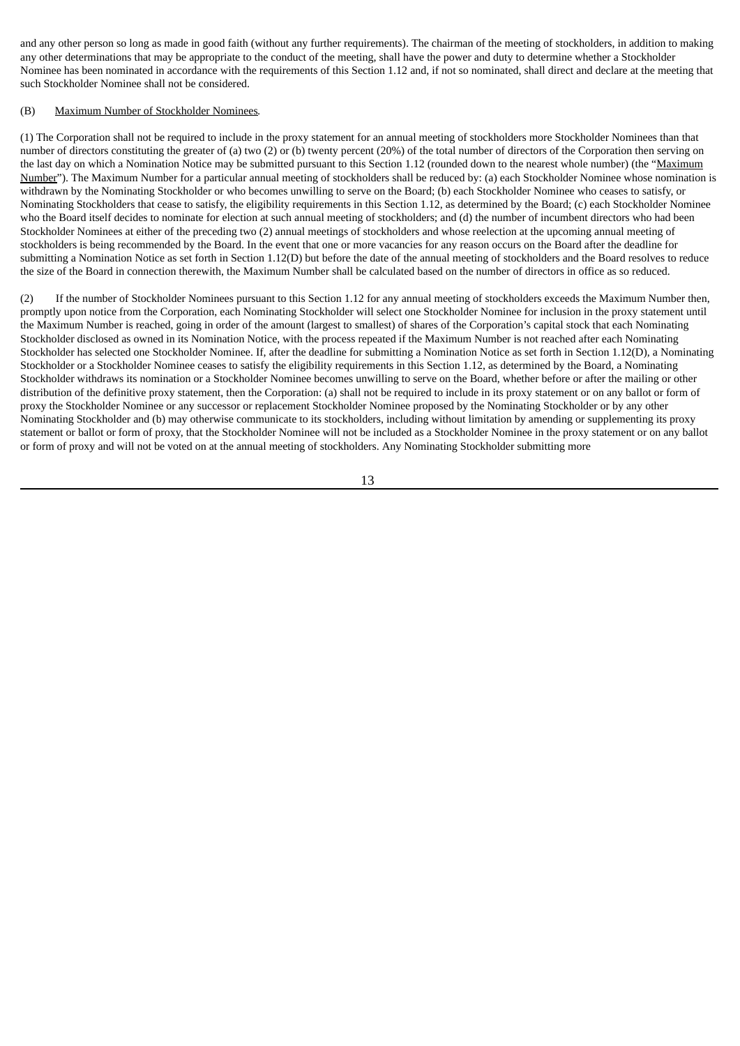and any other person so long as made in good faith (without any further requirements). The chairman of the meeting of stockholders, in addition to making any other determinations that may be appropriate to the conduct of the meeting, shall have the power and duty to determine whether a Stockholder Nominee has been nominated in accordance with the requirements of this Section 1.12 and, if not so nominated, shall direct and declare at the meeting that such Stockholder Nominee shall not be considered.

# (B) Maximum Number of Stockholder Nominees*.*

(1) The Corporation shall not be required to include in the proxy statement for an annual meeting of stockholders more Stockholder Nominees than that number of directors constituting the greater of (a) two (2) or (b) twenty percent (20%) of the total number of directors of the Corporation then serving on the last day on which a Nomination Notice may be submitted pursuant to this Section 1.12 (rounded down to the nearest whole number) (the "Maximum Number"). The Maximum Number for a particular annual meeting of stockholders shall be reduced by: (a) each Stockholder Nominee whose nomination is withdrawn by the Nominating Stockholder or who becomes unwilling to serve on the Board; (b) each Stockholder Nominee who ceases to satisfy, or Nominating Stockholders that cease to satisfy, the eligibility requirements in this Section 1.12, as determined by the Board; (c) each Stockholder Nominee who the Board itself decides to nominate for election at such annual meeting of stockholders; and (d) the number of incumbent directors who had been Stockholder Nominees at either of the preceding two (2) annual meetings of stockholders and whose reelection at the upcoming annual meeting of stockholders is being recommended by the Board. In the event that one or more vacancies for any reason occurs on the Board after the deadline for submitting a Nomination Notice as set forth in Section 1.12(D) but before the date of the annual meeting of stockholders and the Board resolves to reduce the size of the Board in connection therewith, the Maximum Number shall be calculated based on the number of directors in office as so reduced.

(2) If the number of Stockholder Nominees pursuant to this Section 1.12 for any annual meeting of stockholders exceeds the Maximum Number then, promptly upon notice from the Corporation, each Nominating Stockholder will select one Stockholder Nominee for inclusion in the proxy statement until the Maximum Number is reached, going in order of the amount (largest to smallest) of shares of the Corporation's capital stock that each Nominating Stockholder disclosed as owned in its Nomination Notice, with the process repeated if the Maximum Number is not reached after each Nominating Stockholder has selected one Stockholder Nominee. If, after the deadline for submitting a Nomination Notice as set forth in Section 1.12(D), a Nominating Stockholder or a Stockholder Nominee ceases to satisfy the eligibility requirements in this Section 1.12, as determined by the Board, a Nominating Stockholder withdraws its nomination or a Stockholder Nominee becomes unwilling to serve on the Board, whether before or after the mailing or other distribution of the definitive proxy statement, then the Corporation: (a) shall not be required to include in its proxy statement or on any ballot or form of proxy the Stockholder Nominee or any successor or replacement Stockholder Nominee proposed by the Nominating Stockholder or by any other Nominating Stockholder and (b) may otherwise communicate to its stockholders, including without limitation by amending or supplementing its proxy statement or ballot or form of proxy, that the Stockholder Nominee will not be included as a Stockholder Nominee in the proxy statement or on any ballot or form of proxy and will not be voted on at the annual meeting of stockholders. Any Nominating Stockholder submitting more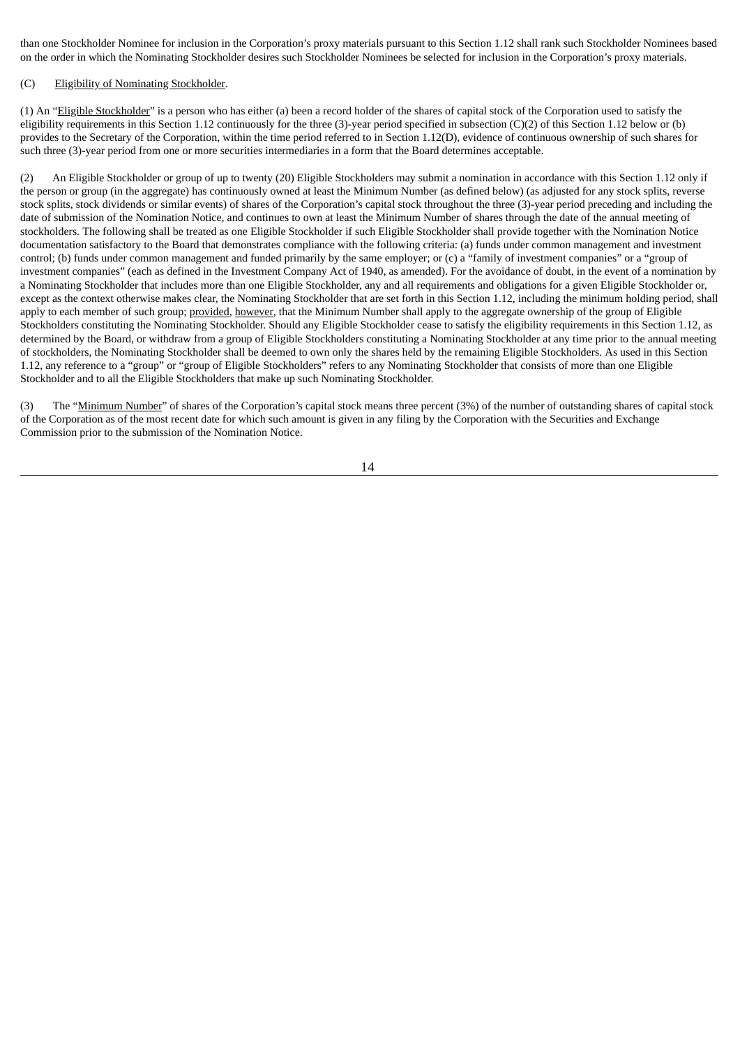than one Stockholder Nominee for inclusion in the Corporation's proxy materials pursuant to this Section 1.12 shall rank such Stockholder Nominees based on the order in which the Nominating Stockholder desires such Stockholder Nominees be selected for inclusion in the Corporation's proxy materials.

# (C) Eligibility of Nominating Stockholder.

(1) An "Eligible Stockholder" is a person who has either (a) been a record holder of the shares of capital stock of the Corporation used to satisfy the eligibility requirements in this Section 1.12 continuously for the three (3)-year period specified in subsection (C)(2) of this Section 1.12 below or (b) provides to the Secretary of the Corporation, within the time period referred to in Section 1.12(D), evidence of continuous ownership of such shares for such three (3)-year period from one or more securities intermediaries in a form that the Board determines acceptable.

(2) An Eligible Stockholder or group of up to twenty (20) Eligible Stockholders may submit a nomination in accordance with this Section 1.12 only if the person or group (in the aggregate) has continuously owned at least the Minimum Number (as defined below) (as adjusted for any stock splits, reverse stock splits, stock dividends or similar events) of shares of the Corporation's capital stock throughout the three (3)-year period preceding and including the date of submission of the Nomination Notice, and continues to own at least the Minimum Number of shares through the date of the annual meeting of stockholders. The following shall be treated as one Eligible Stockholder if such Eligible Stockholder shall provide together with the Nomination Notice documentation satisfactory to the Board that demonstrates compliance with the following criteria: (a) funds under common management and investment control; (b) funds under common management and funded primarily by the same employer; or (c) a "family of investment companies" or a "group of investment companies" (each as defined in the Investment Company Act of 1940, as amended). For the avoidance of doubt, in the event of a nomination by a Nominating Stockholder that includes more than one Eligible Stockholder, any and all requirements and obligations for a given Eligible Stockholder or, except as the context otherwise makes clear, the Nominating Stockholder that are set forth in this Section 1.12, including the minimum holding period, shall apply to each member of such group; provided, however, that the Minimum Number shall apply to the aggregate ownership of the group of Eligible Stockholders constituting the Nominating Stockholder. Should any Eligible Stockholder cease to satisfy the eligibility requirements in this Section 1.12, as determined by the Board, or withdraw from a group of Eligible Stockholders constituting a Nominating Stockholder at any time prior to the annual meeting of stockholders, the Nominating Stockholder shall be deemed to own only the shares held by the remaining Eligible Stockholders. As used in this Section 1.12, any reference to a "group" or "group of Eligible Stockholders" refers to any Nominating Stockholder that consists of more than one Eligible Stockholder and to all the Eligible Stockholders that make up such Nominating Stockholder.

(3) The "Minimum Number" of shares of the Corporation's capital stock means three percent (3%) of the number of outstanding shares of capital stock of the Corporation as of the most recent date for which such amount is given in any filing by the Corporation with the Securities and Exchange Commission prior to the submission of the Nomination Notice.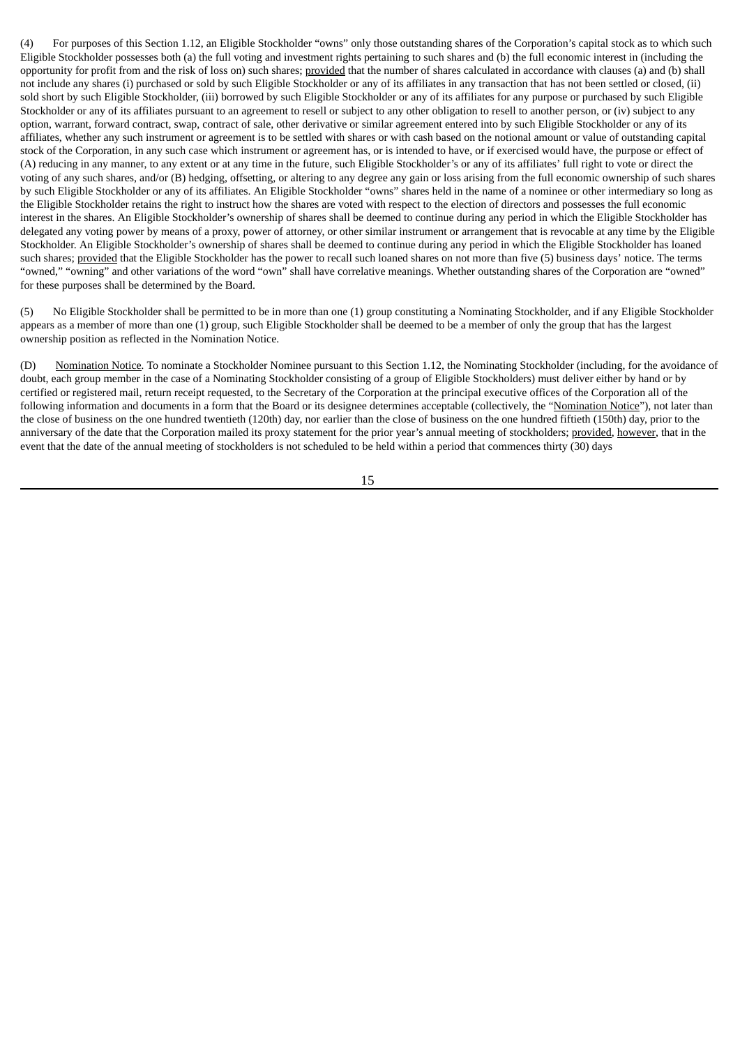(4) For purposes of this Section 1.12, an Eligible Stockholder "owns" only those outstanding shares of the Corporation's capital stock as to which such Eligible Stockholder possesses both (a) the full voting and investment rights pertaining to such shares and (b) the full economic interest in (including the opportunity for profit from and the risk of loss on) such shares; provided that the number of shares calculated in accordance with clauses (a) and (b) shall not include any shares (i) purchased or sold by such Eligible Stockholder or any of its affiliates in any transaction that has not been settled or closed, (ii) sold short by such Eligible Stockholder, (iii) borrowed by such Eligible Stockholder or any of its affiliates for any purpose or purchased by such Eligible Stockholder or any of its affiliates pursuant to an agreement to resell or subject to any other obligation to resell to another person, or (iv) subject to any option, warrant, forward contract, swap, contract of sale, other derivative or similar agreement entered into by such Eligible Stockholder or any of its affiliates, whether any such instrument or agreement is to be settled with shares or with cash based on the notional amount or value of outstanding capital stock of the Corporation, in any such case which instrument or agreement has, or is intended to have, or if exercised would have, the purpose or effect of (A) reducing in any manner, to any extent or at any time in the future, such Eligible Stockholder's or any of its affiliates' full right to vote or direct the voting of any such shares, and/or (B) hedging, offsetting, or altering to any degree any gain or loss arising from the full economic ownership of such shares by such Eligible Stockholder or any of its affiliates. An Eligible Stockholder "owns" shares held in the name of a nominee or other intermediary so long as the Eligible Stockholder retains the right to instruct how the shares are voted with respect to the election of directors and possesses the full economic interest in the shares. An Eligible Stockholder's ownership of shares shall be deemed to continue during any period in which the Eligible Stockholder has delegated any voting power by means of a proxy, power of attorney, or other similar instrument or arrangement that is revocable at any time by the Eligible Stockholder. An Eligible Stockholder's ownership of shares shall be deemed to continue during any period in which the Eligible Stockholder has loaned such shares; provided that the Eligible Stockholder has the power to recall such loaned shares on not more than five (5) business days' notice. The terms "owned," "owning" and other variations of the word "own" shall have correlative meanings. Whether outstanding shares of the Corporation are "owned" for these purposes shall be determined by the Board.

(5) No Eligible Stockholder shall be permitted to be in more than one (1) group constituting a Nominating Stockholder, and if any Eligible Stockholder appears as a member of more than one (1) group, such Eligible Stockholder shall be deemed to be a member of only the group that has the largest ownership position as reflected in the Nomination Notice.

(D) Nomination Notice*.* To nominate a Stockholder Nominee pursuant to this Section 1.12, the Nominating Stockholder (including, for the avoidance of doubt, each group member in the case of a Nominating Stockholder consisting of a group of Eligible Stockholders) must deliver either by hand or by certified or registered mail, return receipt requested, to the Secretary of the Corporation at the principal executive offices of the Corporation all of the following information and documents in a form that the Board or its designee determines acceptable (collectively, the "Nomination Notice"), not later than the close of business on the one hundred twentieth (120th) day, nor earlier than the close of business on the one hundred fiftieth (150th) day, prior to the anniversary of the date that the Corporation mailed its proxy statement for the prior year's annual meeting of stockholders; provided, however, that in the event that the date of the annual meeting of stockholders is not scheduled to be held within a period that commences thirty (30) days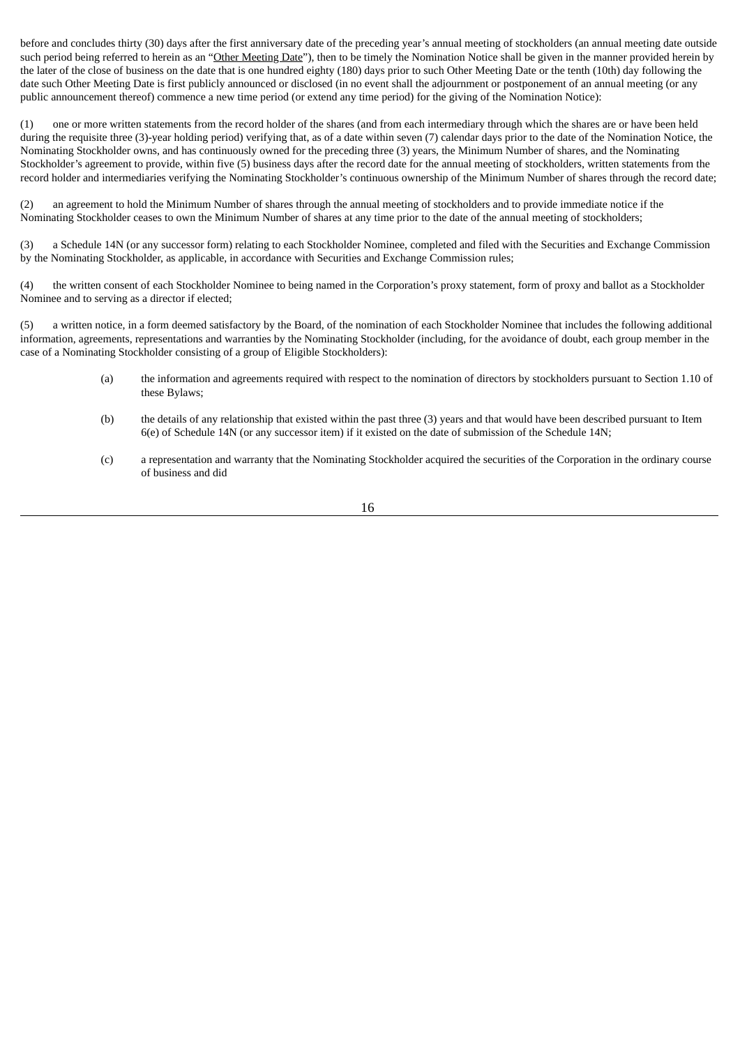before and concludes thirty (30) days after the first anniversary date of the preceding year's annual meeting of stockholders (an annual meeting date outside such period being referred to herein as an "Other Meeting Date"), then to be timely the Nomination Notice shall be given in the manner provided herein by the later of the close of business on the date that is one hundred eighty (180) days prior to such Other Meeting Date or the tenth (10th) day following the date such Other Meeting Date is first publicly announced or disclosed (in no event shall the adjournment or postponement of an annual meeting (or any public announcement thereof) commence a new time period (or extend any time period) for the giving of the Nomination Notice):

(1) one or more written statements from the record holder of the shares (and from each intermediary through which the shares are or have been held during the requisite three (3)-year holding period) verifying that, as of a date within seven (7) calendar days prior to the date of the Nomination Notice, the Nominating Stockholder owns, and has continuously owned for the preceding three (3) years, the Minimum Number of shares, and the Nominating Stockholder's agreement to provide, within five (5) business days after the record date for the annual meeting of stockholders, written statements from the record holder and intermediaries verifying the Nominating Stockholder's continuous ownership of the Minimum Number of shares through the record date;

(2) an agreement to hold the Minimum Number of shares through the annual meeting of stockholders and to provide immediate notice if the Nominating Stockholder ceases to own the Minimum Number of shares at any time prior to the date of the annual meeting of stockholders;

(3) a Schedule 14N (or any successor form) relating to each Stockholder Nominee, completed and filed with the Securities and Exchange Commission by the Nominating Stockholder, as applicable, in accordance with Securities and Exchange Commission rules;

(4) the written consent of each Stockholder Nominee to being named in the Corporation's proxy statement, form of proxy and ballot as a Stockholder Nominee and to serving as a director if elected;

(5) a written notice, in a form deemed satisfactory by the Board, of the nomination of each Stockholder Nominee that includes the following additional information, agreements, representations and warranties by the Nominating Stockholder (including, for the avoidance of doubt, each group member in the case of a Nominating Stockholder consisting of a group of Eligible Stockholders):

- (a) the information and agreements required with respect to the nomination of directors by stockholders pursuant to Section 1.10 of these Bylaws;
- (b) the details of any relationship that existed within the past three (3) years and that would have been described pursuant to Item 6(e) of Schedule 14N (or any successor item) if it existed on the date of submission of the Schedule 14N;
- (c) a representation and warranty that the Nominating Stockholder acquired the securities of the Corporation in the ordinary course of business and did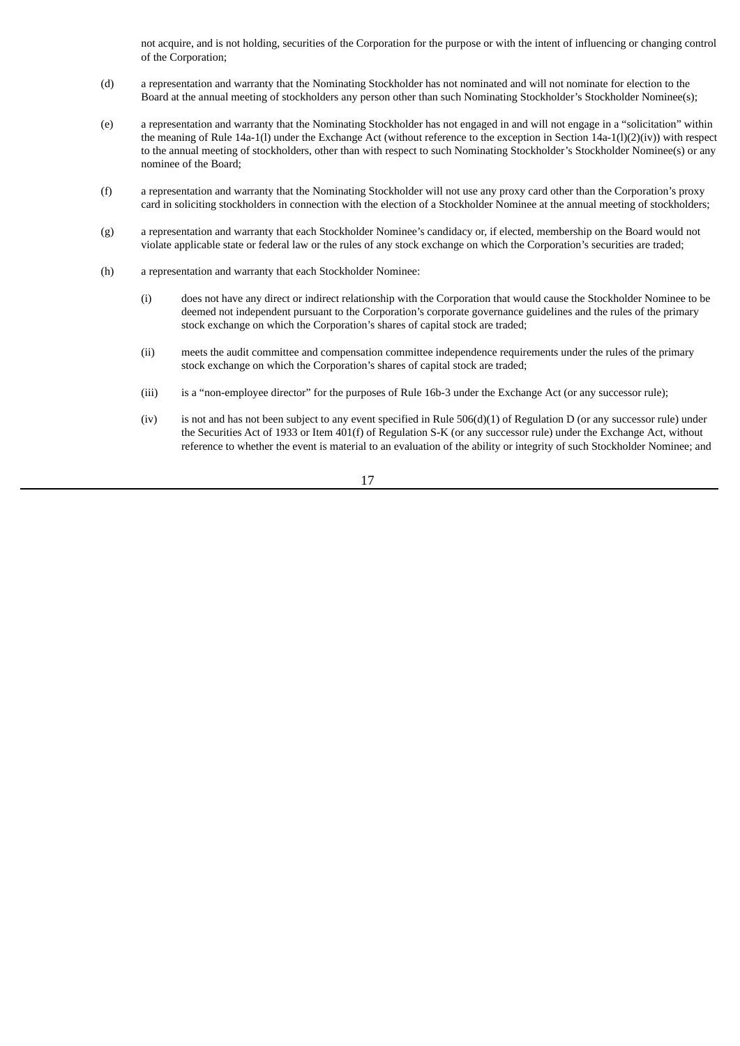not acquire, and is not holding, securities of the Corporation for the purpose or with the intent of influencing or changing control of the Corporation;

- (d) a representation and warranty that the Nominating Stockholder has not nominated and will not nominate for election to the Board at the annual meeting of stockholders any person other than such Nominating Stockholder's Stockholder Nominee(s);
- (e) a representation and warranty that the Nominating Stockholder has not engaged in and will not engage in a "solicitation" within the meaning of Rule 14a-1(l) under the Exchange Act (without reference to the exception in Section 14a-1(l)(2)(iv)) with respect to the annual meeting of stockholders, other than with respect to such Nominating Stockholder's Stockholder Nominee(s) or any nominee of the Board;
- (f) a representation and warranty that the Nominating Stockholder will not use any proxy card other than the Corporation's proxy card in soliciting stockholders in connection with the election of a Stockholder Nominee at the annual meeting of stockholders;
- (g) a representation and warranty that each Stockholder Nominee's candidacy or, if elected, membership on the Board would not violate applicable state or federal law or the rules of any stock exchange on which the Corporation's securities are traded;
- (h) a representation and warranty that each Stockholder Nominee:
	- (i) does not have any direct or indirect relationship with the Corporation that would cause the Stockholder Nominee to be deemed not independent pursuant to the Corporation's corporate governance guidelines and the rules of the primary stock exchange on which the Corporation's shares of capital stock are traded;
	- (ii) meets the audit committee and compensation committee independence requirements under the rules of the primary stock exchange on which the Corporation's shares of capital stock are traded;
	- (iii) is a "non-employee director" for the purposes of Rule 16b-3 under the Exchange Act (or any successor rule);
	- (iv) is not and has not been subject to any event specified in Rule  $506(d)(1)$  of Regulation D (or any successor rule) under the Securities Act of 1933 or Item 401(f) of Regulation S-K (or any successor rule) under the Exchange Act, without reference to whether the event is material to an evaluation of the ability or integrity of such Stockholder Nominee; and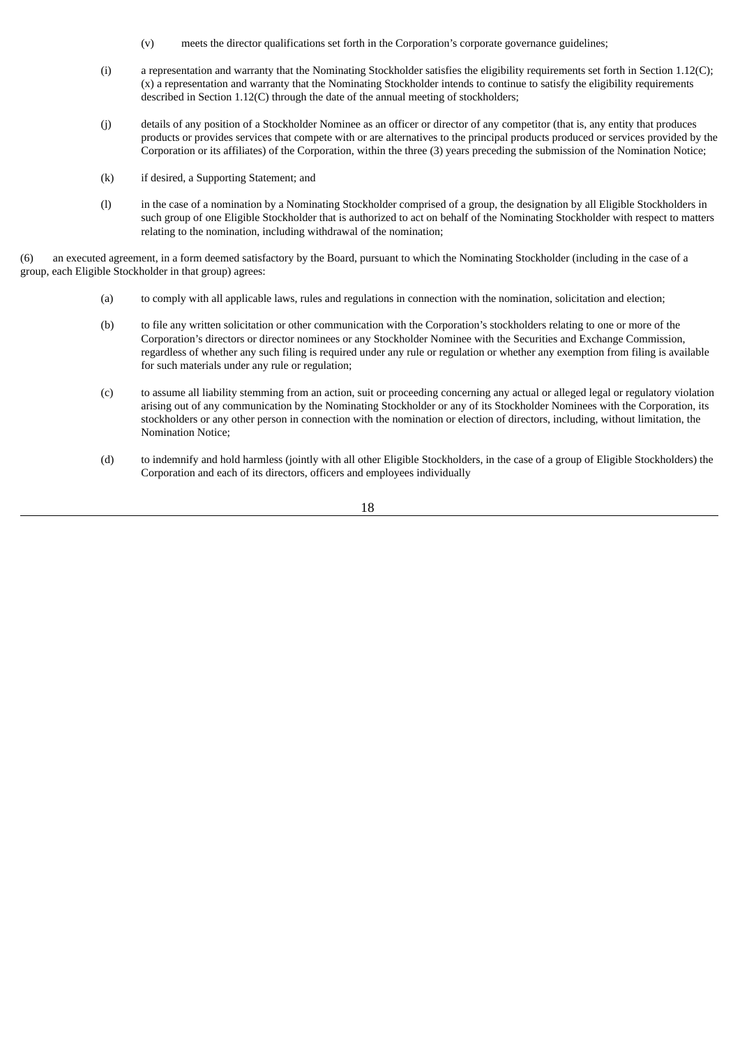- (v) meets the director qualifications set forth in the Corporation's corporate governance guidelines;
- (i) a representation and warranty that the Nominating Stockholder satisfies the eligibility requirements set forth in Section 1.12(C); (x) a representation and warranty that the Nominating Stockholder intends to continue to satisfy the eligibility requirements described in Section 1.12(C) through the date of the annual meeting of stockholders;
- (j) details of any position of a Stockholder Nominee as an officer or director of any competitor (that is, any entity that produces products or provides services that compete with or are alternatives to the principal products produced or services provided by the Corporation or its affiliates) of the Corporation, within the three (3) years preceding the submission of the Nomination Notice;
- (k) if desired, a Supporting Statement; and
- (l) in the case of a nomination by a Nominating Stockholder comprised of a group, the designation by all Eligible Stockholders in such group of one Eligible Stockholder that is authorized to act on behalf of the Nominating Stockholder with respect to matters relating to the nomination, including withdrawal of the nomination;

(6) an executed agreement, in a form deemed satisfactory by the Board, pursuant to which the Nominating Stockholder (including in the case of a group, each Eligible Stockholder in that group) agrees:

- (a) to comply with all applicable laws, rules and regulations in connection with the nomination, solicitation and election;
- (b) to file any written solicitation or other communication with the Corporation's stockholders relating to one or more of the Corporation's directors or director nominees or any Stockholder Nominee with the Securities and Exchange Commission, regardless of whether any such filing is required under any rule or regulation or whether any exemption from filing is available for such materials under any rule or regulation;
- (c) to assume all liability stemming from an action, suit or proceeding concerning any actual or alleged legal or regulatory violation arising out of any communication by the Nominating Stockholder or any of its Stockholder Nominees with the Corporation, its stockholders or any other person in connection with the nomination or election of directors, including, without limitation, the Nomination Notice;
- (d) to indemnify and hold harmless (jointly with all other Eligible Stockholders, in the case of a group of Eligible Stockholders) the Corporation and each of its directors, officers and employees individually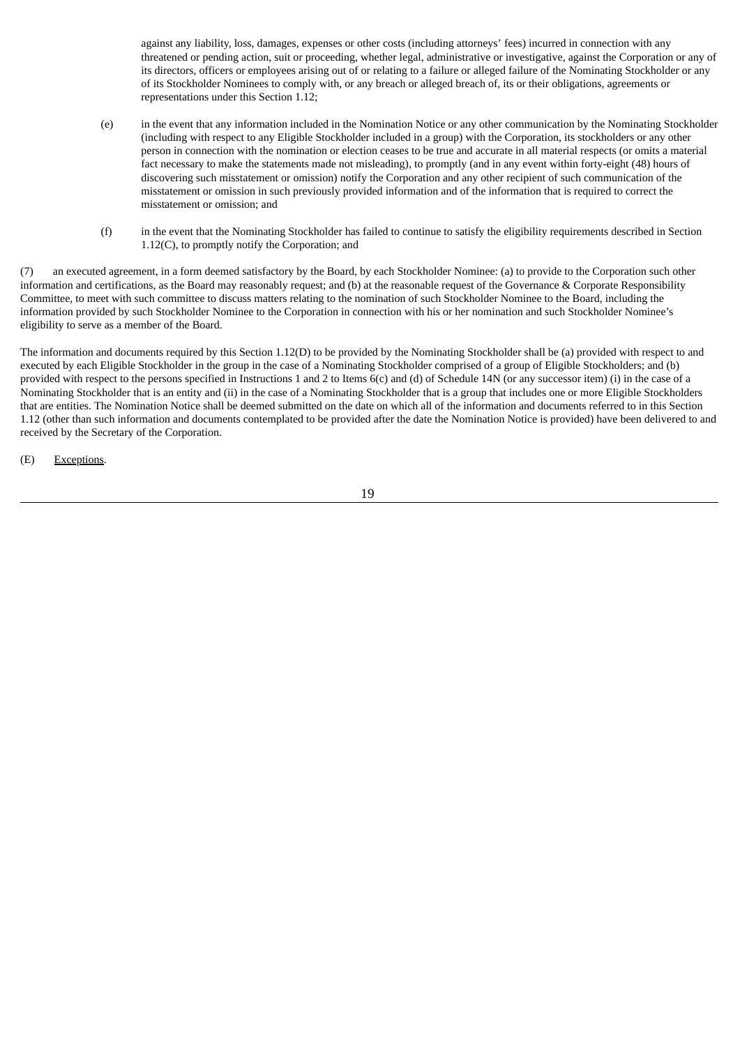against any liability, loss, damages, expenses or other costs (including attorneys' fees) incurred in connection with any threatened or pending action, suit or proceeding, whether legal, administrative or investigative, against the Corporation or any of its directors, officers or employees arising out of or relating to a failure or alleged failure of the Nominating Stockholder or any of its Stockholder Nominees to comply with, or any breach or alleged breach of, its or their obligations, agreements or representations under this Section 1.12;

- (e) in the event that any information included in the Nomination Notice or any other communication by the Nominating Stockholder (including with respect to any Eligible Stockholder included in a group) with the Corporation, its stockholders or any other person in connection with the nomination or election ceases to be true and accurate in all material respects (or omits a material fact necessary to make the statements made not misleading), to promptly (and in any event within forty-eight (48) hours of discovering such misstatement or omission) notify the Corporation and any other recipient of such communication of the misstatement or omission in such previously provided information and of the information that is required to correct the misstatement or omission; and
- (f) in the event that the Nominating Stockholder has failed to continue to satisfy the eligibility requirements described in Section 1.12(C), to promptly notify the Corporation; and

(7) an executed agreement, in a form deemed satisfactory by the Board, by each Stockholder Nominee: (a) to provide to the Corporation such other information and certifications, as the Board may reasonably request; and (b) at the reasonable request of the Governance & Corporate Responsibility Committee, to meet with such committee to discuss matters relating to the nomination of such Stockholder Nominee to the Board, including the information provided by such Stockholder Nominee to the Corporation in connection with his or her nomination and such Stockholder Nominee's eligibility to serve as a member of the Board.

The information and documents required by this Section 1.12(D) to be provided by the Nominating Stockholder shall be (a) provided with respect to and executed by each Eligible Stockholder in the group in the case of a Nominating Stockholder comprised of a group of Eligible Stockholders; and (b) provided with respect to the persons specified in Instructions 1 and 2 to Items 6(c) and (d) of Schedule 14N (or any successor item) (i) in the case of a Nominating Stockholder that is an entity and (ii) in the case of a Nominating Stockholder that is a group that includes one or more Eligible Stockholders that are entities. The Nomination Notice shall be deemed submitted on the date on which all of the information and documents referred to in this Section 1.12 (other than such information and documents contemplated to be provided after the date the Nomination Notice is provided) have been delivered to and received by the Secretary of the Corporation.

(E) Exceptions.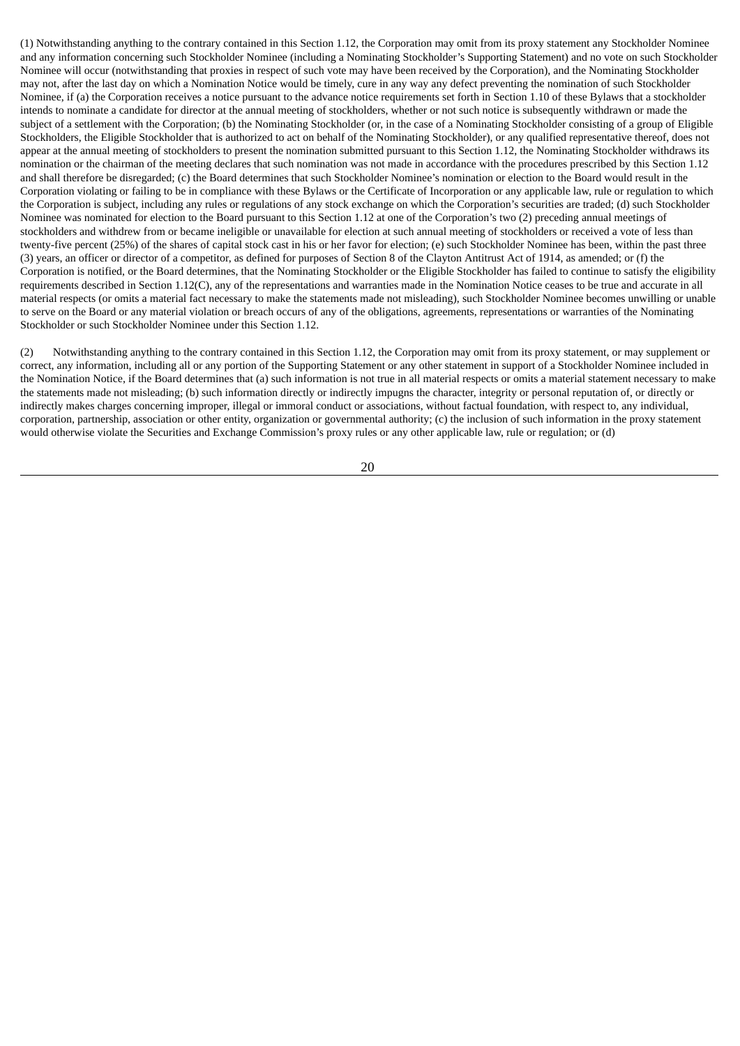(1) Notwithstanding anything to the contrary contained in this Section 1.12, the Corporation may omit from its proxy statement any Stockholder Nominee and any information concerning such Stockholder Nominee (including a Nominating Stockholder's Supporting Statement) and no vote on such Stockholder Nominee will occur (notwithstanding that proxies in respect of such vote may have been received by the Corporation), and the Nominating Stockholder may not, after the last day on which a Nomination Notice would be timely, cure in any way any defect preventing the nomination of such Stockholder Nominee, if (a) the Corporation receives a notice pursuant to the advance notice requirements set forth in Section 1.10 of these Bylaws that a stockholder intends to nominate a candidate for director at the annual meeting of stockholders, whether or not such notice is subsequently withdrawn or made the subject of a settlement with the Corporation; (b) the Nominating Stockholder (or, in the case of a Nominating Stockholder consisting of a group of Eligible Stockholders, the Eligible Stockholder that is authorized to act on behalf of the Nominating Stockholder), or any qualified representative thereof, does not appear at the annual meeting of stockholders to present the nomination submitted pursuant to this Section 1.12, the Nominating Stockholder withdraws its nomination or the chairman of the meeting declares that such nomination was not made in accordance with the procedures prescribed by this Section 1.12 and shall therefore be disregarded; (c) the Board determines that such Stockholder Nominee's nomination or election to the Board would result in the Corporation violating or failing to be in compliance with these Bylaws or the Certificate of Incorporation or any applicable law, rule or regulation to which the Corporation is subject, including any rules or regulations of any stock exchange on which the Corporation's securities are traded; (d) such Stockholder Nominee was nominated for election to the Board pursuant to this Section 1.12 at one of the Corporation's two (2) preceding annual meetings of stockholders and withdrew from or became ineligible or unavailable for election at such annual meeting of stockholders or received a vote of less than twenty-five percent (25%) of the shares of capital stock cast in his or her favor for election; (e) such Stockholder Nominee has been, within the past three (3) years, an officer or director of a competitor, as defined for purposes of Section 8 of the Clayton Antitrust Act of 1914, as amended; or (f) the Corporation is notified, or the Board determines, that the Nominating Stockholder or the Eligible Stockholder has failed to continue to satisfy the eligibility requirements described in Section 1.12(C), any of the representations and warranties made in the Nomination Notice ceases to be true and accurate in all material respects (or omits a material fact necessary to make the statements made not misleading), such Stockholder Nominee becomes unwilling or unable to serve on the Board or any material violation or breach occurs of any of the obligations, agreements, representations or warranties of the Nominating Stockholder or such Stockholder Nominee under this Section 1.12.

(2) Notwithstanding anything to the contrary contained in this Section 1.12, the Corporation may omit from its proxy statement, or may supplement or correct, any information, including all or any portion of the Supporting Statement or any other statement in support of a Stockholder Nominee included in the Nomination Notice, if the Board determines that (a) such information is not true in all material respects or omits a material statement necessary to make the statements made not misleading; (b) such information directly or indirectly impugns the character, integrity or personal reputation of, or directly or indirectly makes charges concerning improper, illegal or immoral conduct or associations, without factual foundation, with respect to, any individual, corporation, partnership, association or other entity, organization or governmental authority; (c) the inclusion of such information in the proxy statement would otherwise violate the Securities and Exchange Commission's proxy rules or any other applicable law, rule or regulation; or (d)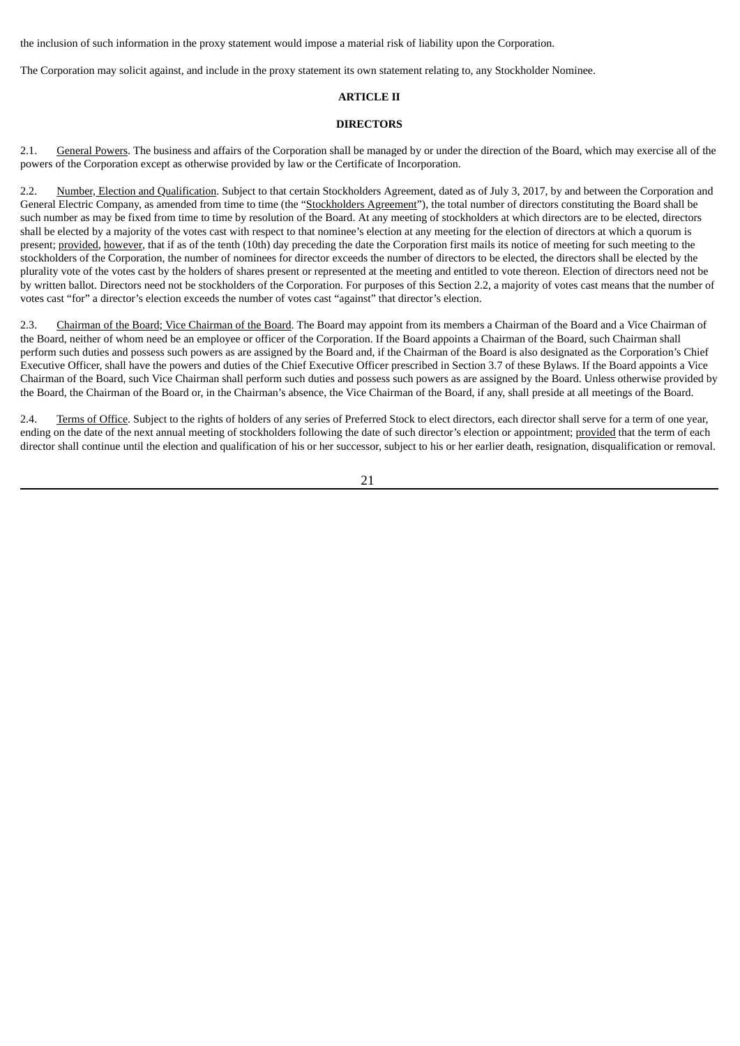the inclusion of such information in the proxy statement would impose a material risk of liability upon the Corporation.

The Corporation may solicit against, and include in the proxy statement its own statement relating to, any Stockholder Nominee.

# **ARTICLE II**

# **DIRECTORS**

2.1. General Powers. The business and affairs of the Corporation shall be managed by or under the direction of the Board, which may exercise all of the powers of the Corporation except as otherwise provided by law or the Certificate of Incorporation.

2.2. Number, Election and Qualification. Subject to that certain Stockholders Agreement, dated as of July 3, 2017, by and between the Corporation and General Electric Company, as amended from time to time (the "Stockholders Agreement"), the total number of directors constituting the Board shall be such number as may be fixed from time to time by resolution of the Board. At any meeting of stockholders at which directors are to be elected, directors shall be elected by a majority of the votes cast with respect to that nominee's election at any meeting for the election of directors at which a quorum is present; provided*,* however, that if as of the tenth (10th) day preceding the date the Corporation first mails its notice of meeting for such meeting to the stockholders of the Corporation, the number of nominees for director exceeds the number of directors to be elected, the directors shall be elected by the plurality vote of the votes cast by the holders of shares present or represented at the meeting and entitled to vote thereon. Election of directors need not be by written ballot. Directors need not be stockholders of the Corporation. For purposes of this Section 2.2, a majority of votes cast means that the number of votes cast "for" a director's election exceeds the number of votes cast "against" that director's election.

2.3. Chairman of the Board; Vice Chairman of the Board. The Board may appoint from its members a Chairman of the Board and a Vice Chairman of the Board, neither of whom need be an employee or officer of the Corporation. If the Board appoints a Chairman of the Board, such Chairman shall perform such duties and possess such powers as are assigned by the Board and, if the Chairman of the Board is also designated as the Corporation's Chief Executive Officer, shall have the powers and duties of the Chief Executive Officer prescribed in Section 3.7 of these Bylaws. If the Board appoints a Vice Chairman of the Board, such Vice Chairman shall perform such duties and possess such powers as are assigned by the Board. Unless otherwise provided by the Board, the Chairman of the Board or, in the Chairman's absence, the Vice Chairman of the Board, if any, shall preside at all meetings of the Board.

2.4. Terms of Office. Subject to the rights of holders of any series of Preferred Stock to elect directors, each director shall serve for a term of one year, ending on the date of the next annual meeting of stockholders following the date of such director's election or appointment; provided that the term of each director shall continue until the election and qualification of his or her successor, subject to his or her earlier death, resignation, disqualification or removal.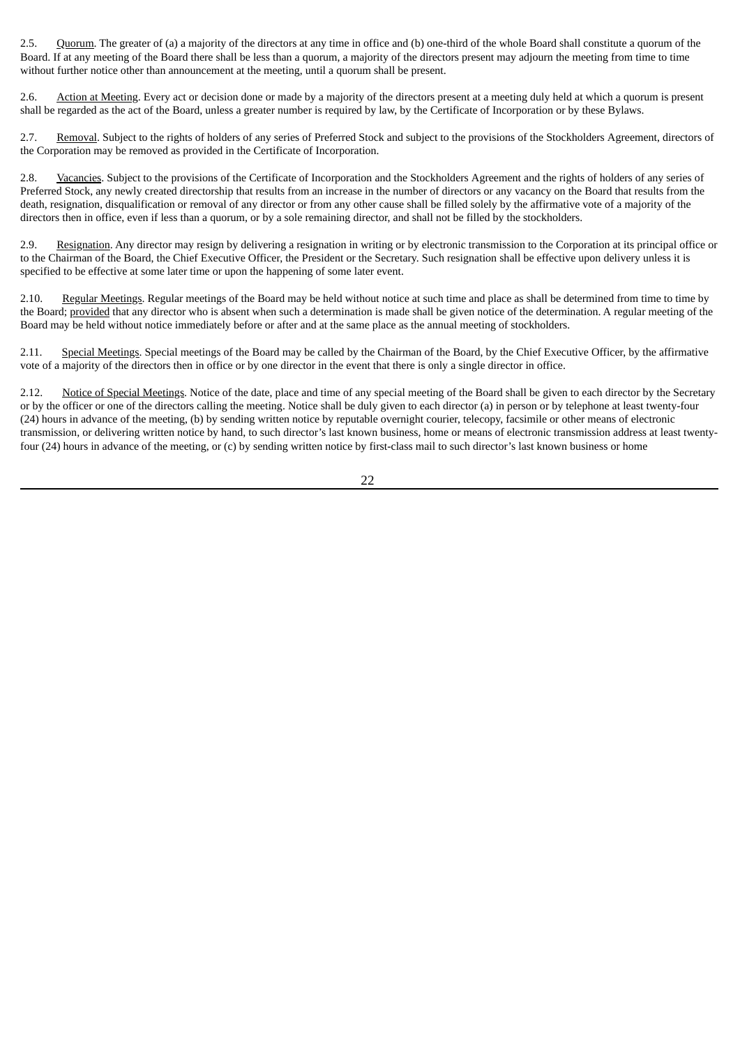2.5. Quorum. The greater of (a) a majority of the directors at any time in office and (b) one-third of the whole Board shall constitute a quorum of the Board. If at any meeting of the Board there shall be less than a quorum, a majority of the directors present may adjourn the meeting from time to time without further notice other than announcement at the meeting, until a quorum shall be present.

2.6. Action at Meeting. Every act or decision done or made by a majority of the directors present at a meeting duly held at which a quorum is present shall be regarded as the act of the Board, unless a greater number is required by law, by the Certificate of Incorporation or by these Bylaws.

2.7. Removal. Subject to the rights of holders of any series of Preferred Stock and subject to the provisions of the Stockholders Agreement, directors of the Corporation may be removed as provided in the Certificate of Incorporation.

2.8. Vacancies. Subject to the provisions of the Certificate of Incorporation and the Stockholders Agreement and the rights of holders of any series of Preferred Stock, any newly created directorship that results from an increase in the number of directors or any vacancy on the Board that results from the death, resignation, disqualification or removal of any director or from any other cause shall be filled solely by the affirmative vote of a majority of the directors then in office, even if less than a quorum, or by a sole remaining director, and shall not be filled by the stockholders.

2.9. Resignation. Any director may resign by delivering a resignation in writing or by electronic transmission to the Corporation at its principal office or to the Chairman of the Board, the Chief Executive Officer, the President or the Secretary. Such resignation shall be effective upon delivery unless it is specified to be effective at some later time or upon the happening of some later event.

2.10. Regular Meetings. Regular meetings of the Board may be held without notice at such time and place as shall be determined from time to time by the Board; provided that any director who is absent when such a determination is made shall be given notice of the determination. A regular meeting of the Board may be held without notice immediately before or after and at the same place as the annual meeting of stockholders.

Special Meetings. Special meetings of the Board may be called by the Chairman of the Board, by the Chief Executive Officer, by the affirmative vote of a majority of the directors then in office or by one director in the event that there is only a single director in office.

2.12. Notice of Special Meetings. Notice of the date, place and time of any special meeting of the Board shall be given to each director by the Secretary or by the officer or one of the directors calling the meeting. Notice shall be duly given to each director (a) in person or by telephone at least twenty-four (24) hours in advance of the meeting, (b) by sending written notice by reputable overnight courier, telecopy, facsimile or other means of electronic transmission, or delivering written notice by hand, to such director's last known business, home or means of electronic transmission address at least twentyfour (24) hours in advance of the meeting, or (c) by sending written notice by first-class mail to such director's last known business or home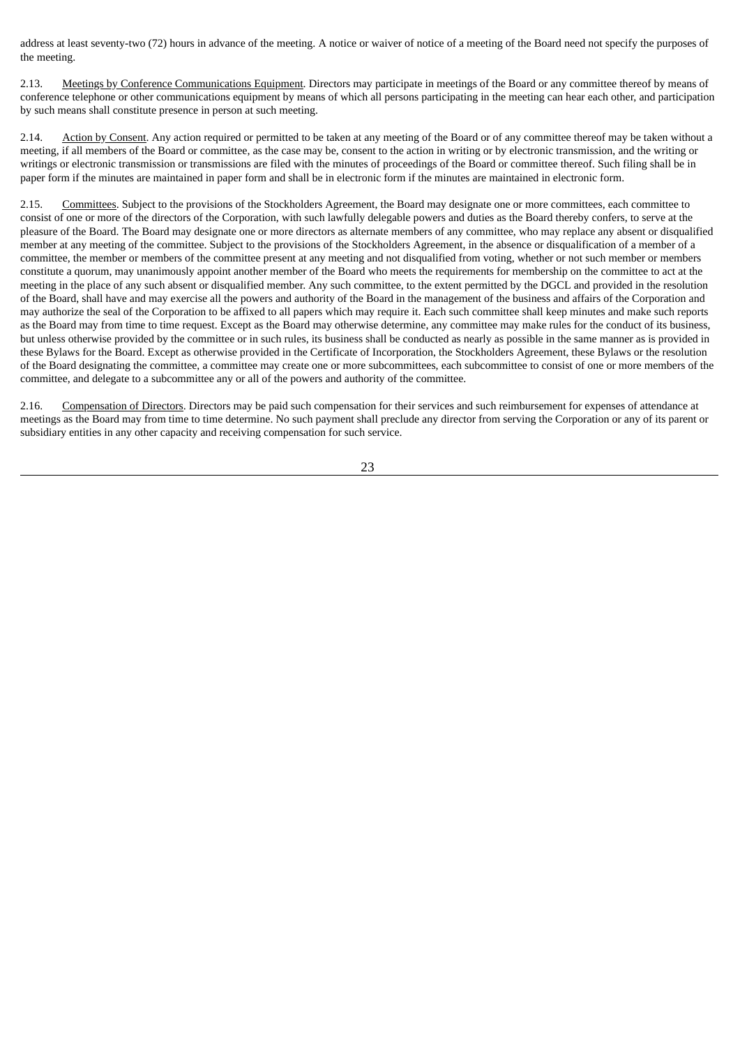address at least seventy-two (72) hours in advance of the meeting. A notice or waiver of notice of a meeting of the Board need not specify the purposes of the meeting.

2.13. Meetings by Conference Communications Equipment. Directors may participate in meetings of the Board or any committee thereof by means of conference telephone or other communications equipment by means of which all persons participating in the meeting can hear each other, and participation by such means shall constitute presence in person at such meeting.

2.14. Action by Consent. Any action required or permitted to be taken at any meeting of the Board or of any committee thereof may be taken without a meeting, if all members of the Board or committee, as the case may be, consent to the action in writing or by electronic transmission, and the writing or writings or electronic transmission or transmissions are filed with the minutes of proceedings of the Board or committee thereof. Such filing shall be in paper form if the minutes are maintained in paper form and shall be in electronic form if the minutes are maintained in electronic form.

2.15. Committees. Subject to the provisions of the Stockholders Agreement, the Board may designate one or more committees, each committee to consist of one or more of the directors of the Corporation, with such lawfully delegable powers and duties as the Board thereby confers, to serve at the pleasure of the Board. The Board may designate one or more directors as alternate members of any committee, who may replace any absent or disqualified member at any meeting of the committee. Subject to the provisions of the Stockholders Agreement, in the absence or disqualification of a member of a committee, the member or members of the committee present at any meeting and not disqualified from voting, whether or not such member or members constitute a quorum, may unanimously appoint another member of the Board who meets the requirements for membership on the committee to act at the meeting in the place of any such absent or disqualified member. Any such committee, to the extent permitted by the DGCL and provided in the resolution of the Board, shall have and may exercise all the powers and authority of the Board in the management of the business and affairs of the Corporation and may authorize the seal of the Corporation to be affixed to all papers which may require it. Each such committee shall keep minutes and make such reports as the Board may from time to time request. Except as the Board may otherwise determine, any committee may make rules for the conduct of its business, but unless otherwise provided by the committee or in such rules, its business shall be conducted as nearly as possible in the same manner as is provided in these Bylaws for the Board. Except as otherwise provided in the Certificate of Incorporation, the Stockholders Agreement, these Bylaws or the resolution of the Board designating the committee, a committee may create one or more subcommittees, each subcommittee to consist of one or more members of the committee, and delegate to a subcommittee any or all of the powers and authority of the committee.

2.16. Compensation of Directors. Directors may be paid such compensation for their services and such reimbursement for expenses of attendance at meetings as the Board may from time to time determine. No such payment shall preclude any director from serving the Corporation or any of its parent or subsidiary entities in any other capacity and receiving compensation for such service.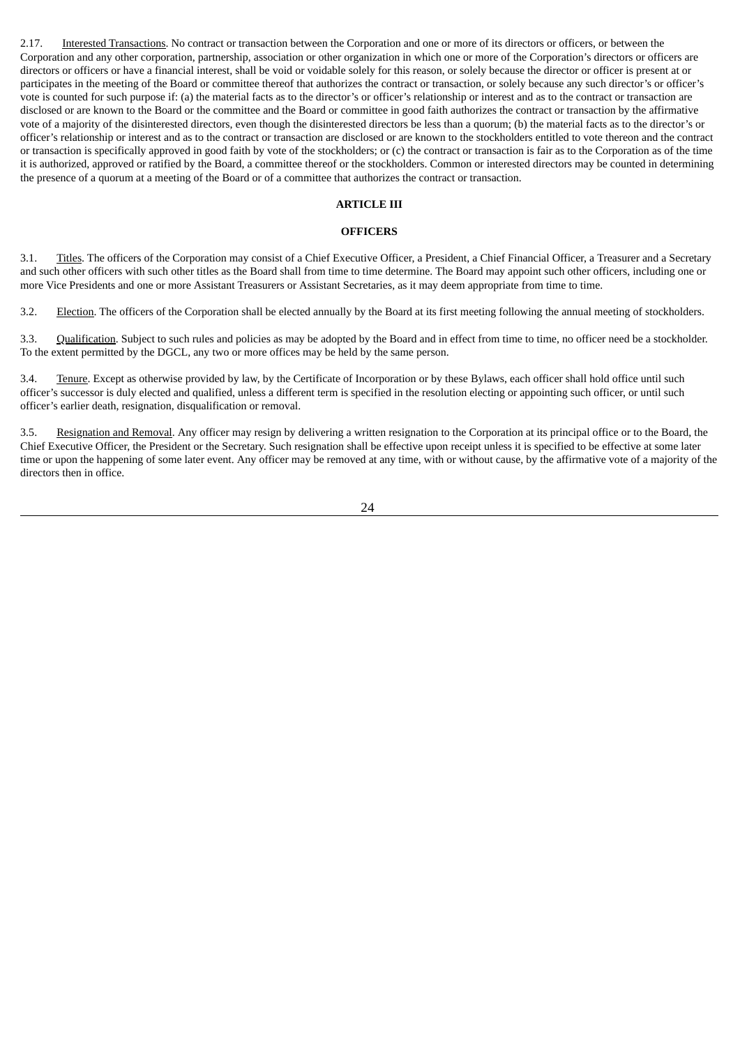2.17. Interested Transactions. No contract or transaction between the Corporation and one or more of its directors or officers, or between the Corporation and any other corporation, partnership, association or other organization in which one or more of the Corporation's directors or officers are directors or officers or have a financial interest, shall be void or voidable solely for this reason, or solely because the director or officer is present at or participates in the meeting of the Board or committee thereof that authorizes the contract or transaction, or solely because any such director's or officer's vote is counted for such purpose if: (a) the material facts as to the director's or officer's relationship or interest and as to the contract or transaction are disclosed or are known to the Board or the committee and the Board or committee in good faith authorizes the contract or transaction by the affirmative vote of a majority of the disinterested directors, even though the disinterested directors be less than a quorum; (b) the material facts as to the director's or officer's relationship or interest and as to the contract or transaction are disclosed or are known to the stockholders entitled to vote thereon and the contract or transaction is specifically approved in good faith by vote of the stockholders; or (c) the contract or transaction is fair as to the Corporation as of the time it is authorized, approved or ratified by the Board, a committee thereof or the stockholders. Common or interested directors may be counted in determining the presence of a quorum at a meeting of the Board or of a committee that authorizes the contract or transaction.

#### **ARTICLE III**

#### **OFFICERS**

3.1. Titles. The officers of the Corporation may consist of a Chief Executive Officer, a President, a Chief Financial Officer, a Treasurer and a Secretary and such other officers with such other titles as the Board shall from time to time determine. The Board may appoint such other officers, including one or more Vice Presidents and one or more Assistant Treasurers or Assistant Secretaries, as it may deem appropriate from time to time.

3.2. Election. The officers of the Corporation shall be elected annually by the Board at its first meeting following the annual meeting of stockholders.

3.3. Qualification. Subject to such rules and policies as may be adopted by the Board and in effect from time to time, no officer need be a stockholder. To the extent permitted by the DGCL, any two or more offices may be held by the same person.

3.4. Tenure. Except as otherwise provided by law, by the Certificate of Incorporation or by these Bylaws, each officer shall hold office until such officer's successor is duly elected and qualified, unless a different term is specified in the resolution electing or appointing such officer, or until such officer's earlier death, resignation, disqualification or removal.

3.5. Resignation and Removal. Any officer may resign by delivering a written resignation to the Corporation at its principal office or to the Board, the Chief Executive Officer, the President or the Secretary. Such resignation shall be effective upon receipt unless it is specified to be effective at some later time or upon the happening of some later event. Any officer may be removed at any time, with or without cause, by the affirmative vote of a majority of the directors then in office.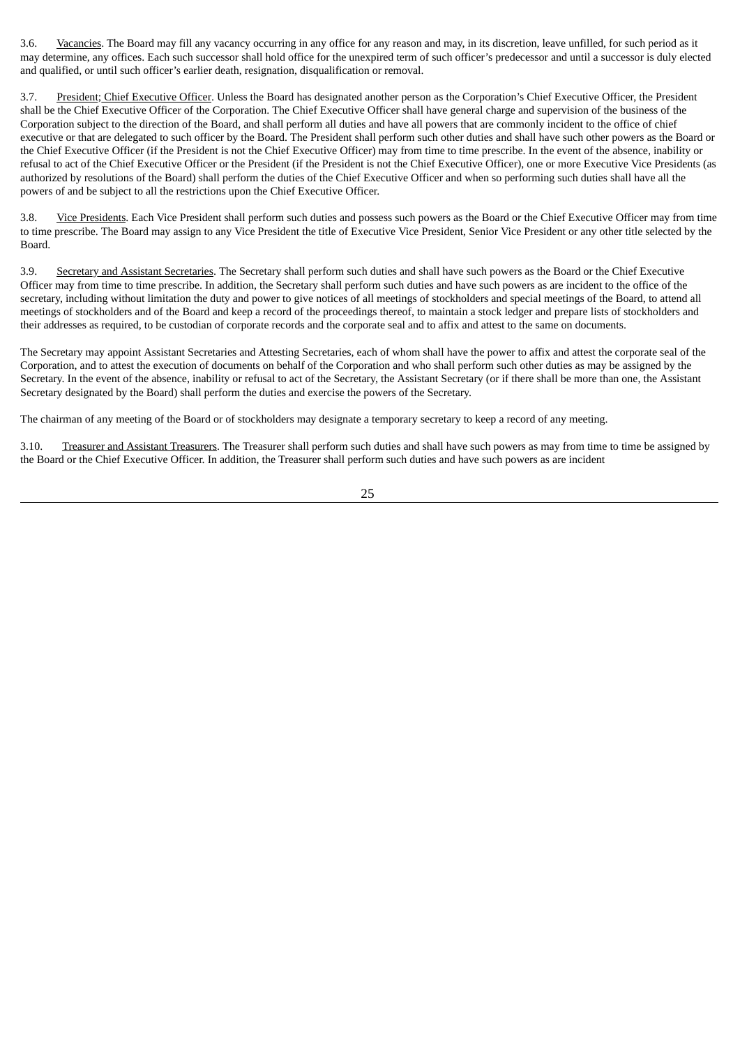3.6. Vacancies. The Board may fill any vacancy occurring in any office for any reason and may, in its discretion, leave unfilled, for such period as it may determine, any offices. Each such successor shall hold office for the unexpired term of such officer's predecessor and until a successor is duly elected and qualified, or until such officer's earlier death, resignation, disqualification or removal.

3.7. President; Chief Executive Officer. Unless the Board has designated another person as the Corporation's Chief Executive Officer, the President shall be the Chief Executive Officer of the Corporation. The Chief Executive Officer shall have general charge and supervision of the business of the Corporation subject to the direction of the Board, and shall perform all duties and have all powers that are commonly incident to the office of chief executive or that are delegated to such officer by the Board. The President shall perform such other duties and shall have such other powers as the Board or the Chief Executive Officer (if the President is not the Chief Executive Officer) may from time to time prescribe. In the event of the absence, inability or refusal to act of the Chief Executive Officer or the President (if the President is not the Chief Executive Officer), one or more Executive Vice Presidents (as authorized by resolutions of the Board) shall perform the duties of the Chief Executive Officer and when so performing such duties shall have all the powers of and be subject to all the restrictions upon the Chief Executive Officer.

3.8. Vice Presidents. Each Vice President shall perform such duties and possess such powers as the Board or the Chief Executive Officer may from time to time prescribe. The Board may assign to any Vice President the title of Executive Vice President, Senior Vice President or any other title selected by the Board.

3.9. Secretary and Assistant Secretaries. The Secretary shall perform such duties and shall have such powers as the Board or the Chief Executive Officer may from time to time prescribe. In addition, the Secretary shall perform such duties and have such powers as are incident to the office of the secretary, including without limitation the duty and power to give notices of all meetings of stockholders and special meetings of the Board, to attend all meetings of stockholders and of the Board and keep a record of the proceedings thereof, to maintain a stock ledger and prepare lists of stockholders and their addresses as required, to be custodian of corporate records and the corporate seal and to affix and attest to the same on documents.

The Secretary may appoint Assistant Secretaries and Attesting Secretaries, each of whom shall have the power to affix and attest the corporate seal of the Corporation, and to attest the execution of documents on behalf of the Corporation and who shall perform such other duties as may be assigned by the Secretary. In the event of the absence, inability or refusal to act of the Secretary, the Assistant Secretary (or if there shall be more than one, the Assistant Secretary designated by the Board) shall perform the duties and exercise the powers of the Secretary.

The chairman of any meeting of the Board or of stockholders may designate a temporary secretary to keep a record of any meeting.

3.10. Treasurer and Assistant Treasurers. The Treasurer shall perform such duties and shall have such powers as may from time to time be assigned by the Board or the Chief Executive Officer. In addition, the Treasurer shall perform such duties and have such powers as are incident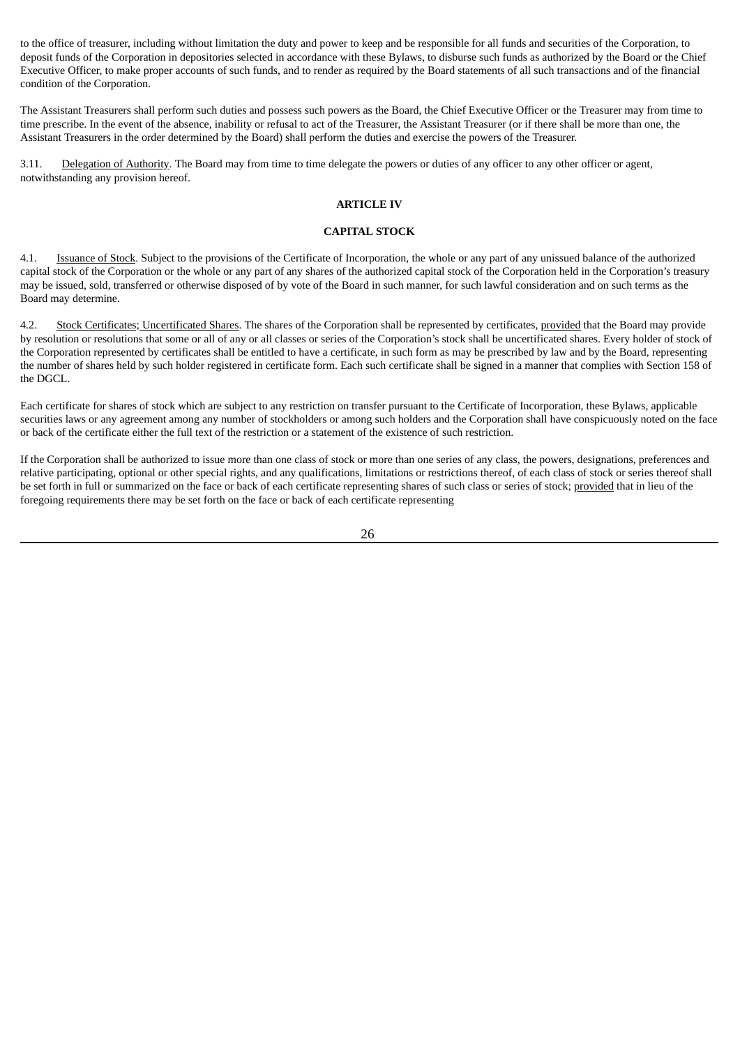to the office of treasurer, including without limitation the duty and power to keep and be responsible for all funds and securities of the Corporation, to deposit funds of the Corporation in depositories selected in accordance with these Bylaws, to disburse such funds as authorized by the Board or the Chief Executive Officer, to make proper accounts of such funds, and to render as required by the Board statements of all such transactions and of the financial condition of the Corporation.

The Assistant Treasurers shall perform such duties and possess such powers as the Board, the Chief Executive Officer or the Treasurer may from time to time prescribe. In the event of the absence, inability or refusal to act of the Treasurer, the Assistant Treasurer (or if there shall be more than one, the Assistant Treasurers in the order determined by the Board) shall perform the duties and exercise the powers of the Treasurer.

3.11. Delegation of Authority. The Board may from time to time delegate the powers or duties of any officer to any other officer or agent, notwithstanding any provision hereof.

#### **ARTICLE IV**

### **CAPITAL STOCK**

4.1. Issuance of Stock. Subject to the provisions of the Certificate of Incorporation, the whole or any part of any unissued balance of the authorized capital stock of the Corporation or the whole or any part of any shares of the authorized capital stock of the Corporation held in the Corporation's treasury may be issued, sold, transferred or otherwise disposed of by vote of the Board in such manner, for such lawful consideration and on such terms as the Board may determine.

4.2. Stock Certificates; Uncertificated Shares. The shares of the Corporation shall be represented by certificates, provided that the Board may provide by resolution or resolutions that some or all of any or all classes or series of the Corporation's stock shall be uncertificated shares. Every holder of stock of the Corporation represented by certificates shall be entitled to have a certificate, in such form as may be prescribed by law and by the Board, representing the number of shares held by such holder registered in certificate form. Each such certificate shall be signed in a manner that complies with Section 158 of the DGCL.

Each certificate for shares of stock which are subject to any restriction on transfer pursuant to the Certificate of Incorporation, these Bylaws, applicable securities laws or any agreement among any number of stockholders or among such holders and the Corporation shall have conspicuously noted on the face or back of the certificate either the full text of the restriction or a statement of the existence of such restriction.

If the Corporation shall be authorized to issue more than one class of stock or more than one series of any class, the powers, designations, preferences and relative participating, optional or other special rights, and any qualifications, limitations or restrictions thereof, of each class of stock or series thereof shall be set forth in full or summarized on the face or back of each certificate representing shares of such class or series of stock; provided that in lieu of the foregoing requirements there may be set forth on the face or back of each certificate representing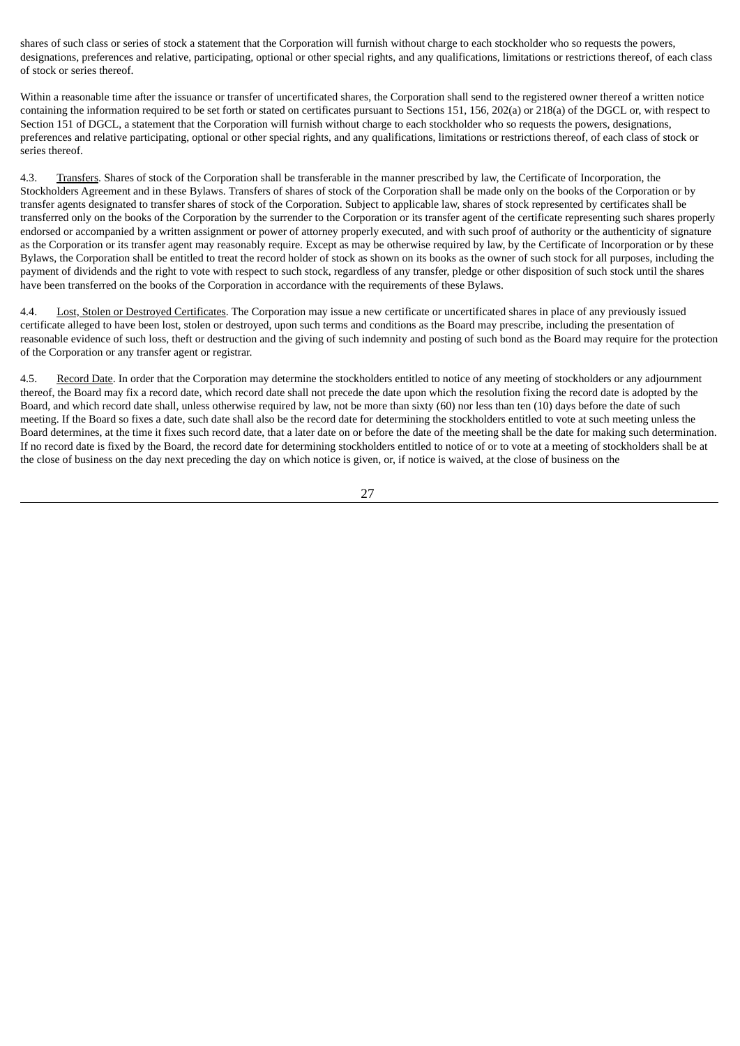shares of such class or series of stock a statement that the Corporation will furnish without charge to each stockholder who so requests the powers, designations, preferences and relative, participating, optional or other special rights, and any qualifications, limitations or restrictions thereof, of each class of stock or series thereof.

Within a reasonable time after the issuance or transfer of uncertificated shares, the Corporation shall send to the registered owner thereof a written notice containing the information required to be set forth or stated on certificates pursuant to Sections 151, 156, 202(a) or 218(a) of the DGCL or, with respect to Section 151 of DGCL, a statement that the Corporation will furnish without charge to each stockholder who so requests the powers, designations, preferences and relative participating, optional or other special rights, and any qualifications, limitations or restrictions thereof, of each class of stock or series thereof.

4.3. Transfers. Shares of stock of the Corporation shall be transferable in the manner prescribed by law, the Certificate of Incorporation, the Stockholders Agreement and in these Bylaws. Transfers of shares of stock of the Corporation shall be made only on the books of the Corporation or by transfer agents designated to transfer shares of stock of the Corporation. Subject to applicable law, shares of stock represented by certificates shall be transferred only on the books of the Corporation by the surrender to the Corporation or its transfer agent of the certificate representing such shares properly endorsed or accompanied by a written assignment or power of attorney properly executed, and with such proof of authority or the authenticity of signature as the Corporation or its transfer agent may reasonably require. Except as may be otherwise required by law, by the Certificate of Incorporation or by these Bylaws, the Corporation shall be entitled to treat the record holder of stock as shown on its books as the owner of such stock for all purposes, including the payment of dividends and the right to vote with respect to such stock, regardless of any transfer, pledge or other disposition of such stock until the shares have been transferred on the books of the Corporation in accordance with the requirements of these Bylaws.

4.4. Lost, Stolen or Destroyed Certificates. The Corporation may issue a new certificate or uncertificated shares in place of any previously issued certificate alleged to have been lost, stolen or destroyed, upon such terms and conditions as the Board may prescribe, including the presentation of reasonable evidence of such loss, theft or destruction and the giving of such indemnity and posting of such bond as the Board may require for the protection of the Corporation or any transfer agent or registrar.

4.5. Record Date. In order that the Corporation may determine the stockholders entitled to notice of any meeting of stockholders or any adjournment thereof, the Board may fix a record date, which record date shall not precede the date upon which the resolution fixing the record date is adopted by the Board, and which record date shall, unless otherwise required by law, not be more than sixty (60) nor less than ten (10) days before the date of such meeting. If the Board so fixes a date, such date shall also be the record date for determining the stockholders entitled to vote at such meeting unless the Board determines, at the time it fixes such record date, that a later date on or before the date of the meeting shall be the date for making such determination. If no record date is fixed by the Board, the record date for determining stockholders entitled to notice of or to vote at a meeting of stockholders shall be at the close of business on the day next preceding the day on which notice is given, or, if notice is waived, at the close of business on the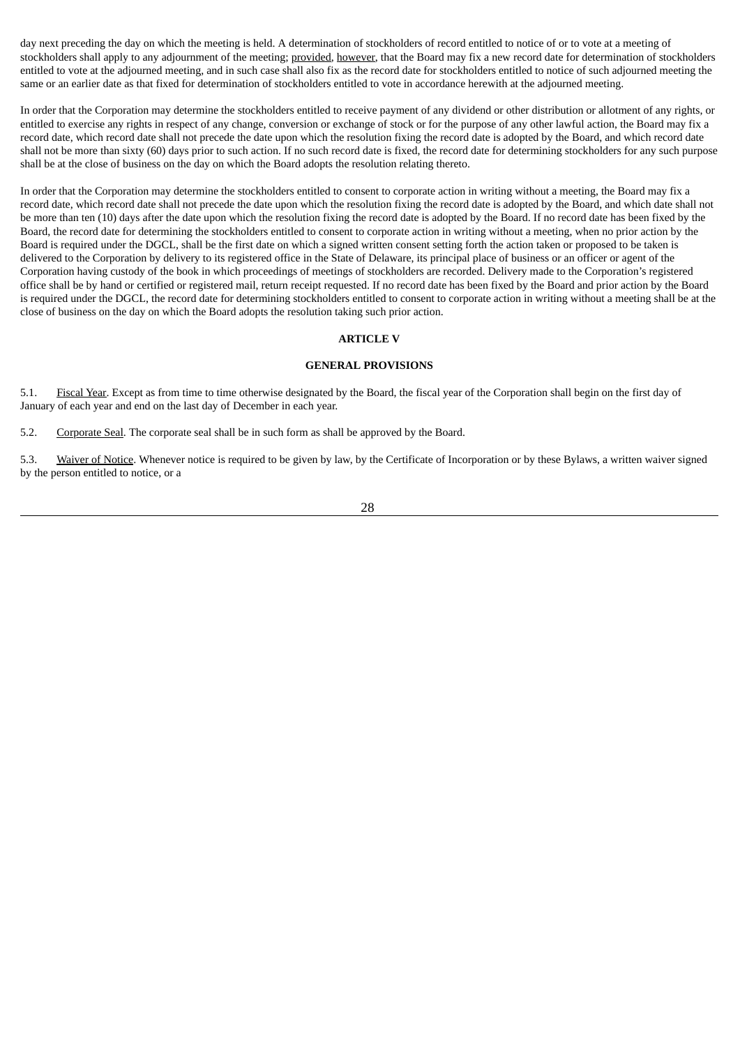day next preceding the day on which the meeting is held. A determination of stockholders of record entitled to notice of or to vote at a meeting of stockholders shall apply to any adjournment of the meeting; provided, however, that the Board may fix a new record date for determination of stockholders entitled to vote at the adjourned meeting, and in such case shall also fix as the record date for stockholders entitled to notice of such adjourned meeting the same or an earlier date as that fixed for determination of stockholders entitled to vote in accordance herewith at the adjourned meeting.

In order that the Corporation may determine the stockholders entitled to receive payment of any dividend or other distribution or allotment of any rights, or entitled to exercise any rights in respect of any change, conversion or exchange of stock or for the purpose of any other lawful action, the Board may fix a record date, which record date shall not precede the date upon which the resolution fixing the record date is adopted by the Board, and which record date shall not be more than sixty (60) days prior to such action. If no such record date is fixed, the record date for determining stockholders for any such purpose shall be at the close of business on the day on which the Board adopts the resolution relating thereto.

In order that the Corporation may determine the stockholders entitled to consent to corporate action in writing without a meeting, the Board may fix a record date, which record date shall not precede the date upon which the resolution fixing the record date is adopted by the Board, and which date shall not be more than ten (10) days after the date upon which the resolution fixing the record date is adopted by the Board. If no record date has been fixed by the Board, the record date for determining the stockholders entitled to consent to corporate action in writing without a meeting, when no prior action by the Board is required under the DGCL, shall be the first date on which a signed written consent setting forth the action taken or proposed to be taken is delivered to the Corporation by delivery to its registered office in the State of Delaware, its principal place of business or an officer or agent of the Corporation having custody of the book in which proceedings of meetings of stockholders are recorded. Delivery made to the Corporation's registered office shall be by hand or certified or registered mail, return receipt requested. If no record date has been fixed by the Board and prior action by the Board is required under the DGCL, the record date for determining stockholders entitled to consent to corporate action in writing without a meeting shall be at the close of business on the day on which the Board adopts the resolution taking such prior action.

# **ARTICLE V**

#### **GENERAL PROVISIONS**

5.1. Fiscal Year. Except as from time to time otherwise designated by the Board, the fiscal year of the Corporation shall begin on the first day of January of each year and end on the last day of December in each year.

5.2. Corporate Seal. The corporate seal shall be in such form as shall be approved by the Board.

5.3. Waiver of Notice. Whenever notice is required to be given by law, by the Certificate of Incorporation or by these Bylaws, a written waiver signed by the person entitled to notice, or a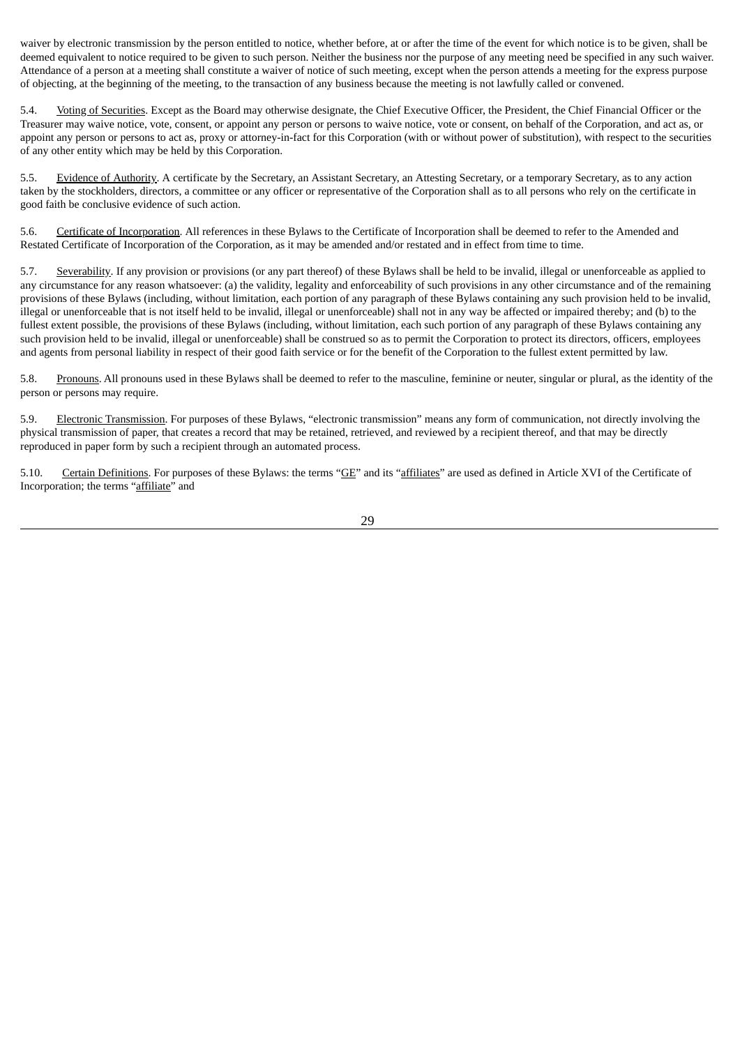waiver by electronic transmission by the person entitled to notice, whether before, at or after the time of the event for which notice is to be given, shall be deemed equivalent to notice required to be given to such person. Neither the business nor the purpose of any meeting need be specified in any such waiver. Attendance of a person at a meeting shall constitute a waiver of notice of such meeting, except when the person attends a meeting for the express purpose of objecting, at the beginning of the meeting, to the transaction of any business because the meeting is not lawfully called or convened.

5.4. Voting of Securities. Except as the Board may otherwise designate, the Chief Executive Officer, the President, the Chief Financial Officer or the Treasurer may waive notice, vote, consent, or appoint any person or persons to waive notice, vote or consent, on behalf of the Corporation, and act as, or appoint any person or persons to act as, proxy or attorney-in-fact for this Corporation (with or without power of substitution), with respect to the securities of any other entity which may be held by this Corporation.

5.5. Evidence of Authority. A certificate by the Secretary, an Assistant Secretary, an Attesting Secretary, or a temporary Secretary, as to any action taken by the stockholders, directors, a committee or any officer or representative of the Corporation shall as to all persons who rely on the certificate in good faith be conclusive evidence of such action.

5.6. Certificate of Incorporation. All references in these Bylaws to the Certificate of Incorporation shall be deemed to refer to the Amended and Restated Certificate of Incorporation of the Corporation, as it may be amended and/or restated and in effect from time to time.

5.7. Severability. If any provision or provisions (or any part thereof) of these Bylaws shall be held to be invalid, illegal or unenforceable as applied to any circumstance for any reason whatsoever: (a) the validity, legality and enforceability of such provisions in any other circumstance and of the remaining provisions of these Bylaws (including, without limitation, each portion of any paragraph of these Bylaws containing any such provision held to be invalid, illegal or unenforceable that is not itself held to be invalid, illegal or unenforceable) shall not in any way be affected or impaired thereby; and (b) to the fullest extent possible, the provisions of these Bylaws (including, without limitation, each such portion of any paragraph of these Bylaws containing any such provision held to be invalid, illegal or unenforceable) shall be construed so as to permit the Corporation to protect its directors, officers, employees and agents from personal liability in respect of their good faith service or for the benefit of the Corporation to the fullest extent permitted by law.

5.8. Pronouns. All pronouns used in these Bylaws shall be deemed to refer to the masculine, feminine or neuter, singular or plural, as the identity of the person or persons may require.

5.9. Electronic Transmission. For purposes of these Bylaws, "electronic transmission" means any form of communication, not directly involving the physical transmission of paper, that creates a record that may be retained, retrieved, and reviewed by a recipient thereof, and that may be directly reproduced in paper form by such a recipient through an automated process.

5.10. Certain Definitions. For purposes of these Bylaws: the terms "GE" and its "affiliates" are used as defined in Article XVI of the Certificate of Incorporation; the terms "affiliate" and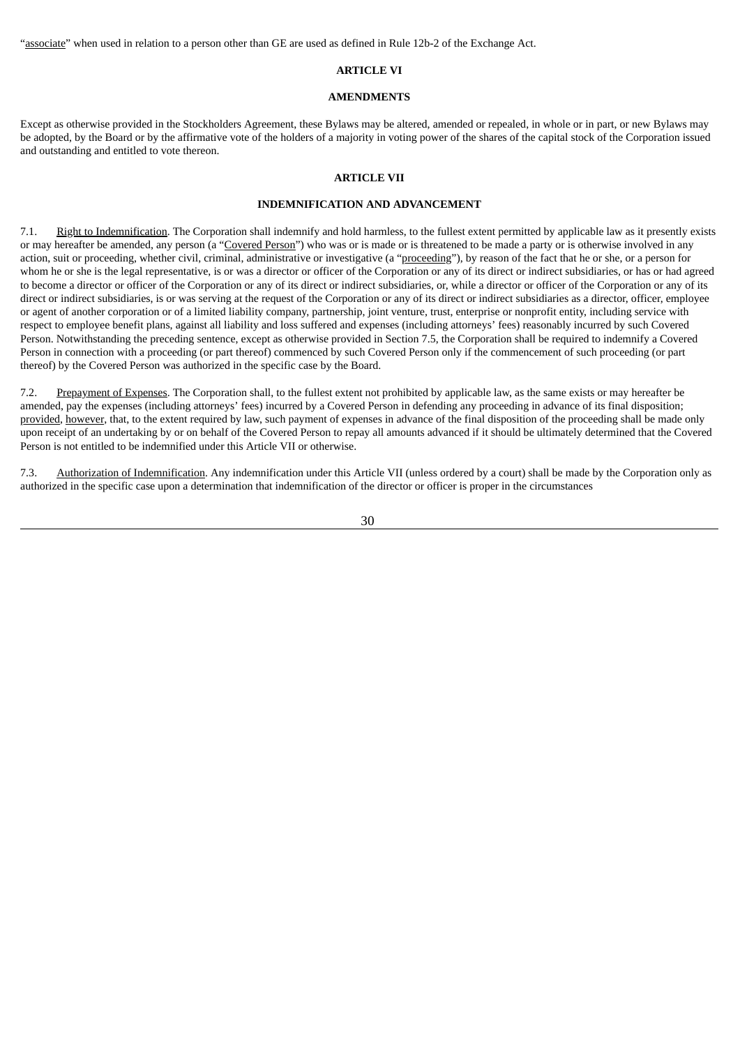"associate" when used in relation to a person other than GE are used as defined in Rule 12b-2 of the Exchange Act.

# **ARTICLE VI**

#### **AMENDMENTS**

Except as otherwise provided in the Stockholders Agreement, these Bylaws may be altered, amended or repealed, in whole or in part, or new Bylaws may be adopted, by the Board or by the affirmative vote of the holders of a majority in voting power of the shares of the capital stock of the Corporation issued and outstanding and entitled to vote thereon.

### **ARTICLE VII**

#### **INDEMNIFICATION AND ADVANCEMENT**

7.1. Right to Indemnification. The Corporation shall indemnify and hold harmless, to the fullest extent permitted by applicable law as it presently exists or may hereafter be amended, any person (a "Covered Person") who was or is made or is threatened to be made a party or is otherwise involved in any action, suit or proceeding, whether civil, criminal, administrative or investigative (a "proceeding"), by reason of the fact that he or she, or a person for whom he or she is the legal representative, is or was a director or officer of the Corporation or any of its direct or indirect subsidiaries, or has or had agreed to become a director or officer of the Corporation or any of its direct or indirect subsidiaries, or, while a director or officer of the Corporation or any of its direct or indirect subsidiaries, is or was serving at the request of the Corporation or any of its direct or indirect subsidiaries as a director, officer, employee or agent of another corporation or of a limited liability company, partnership, joint venture, trust, enterprise or nonprofit entity, including service with respect to employee benefit plans, against all liability and loss suffered and expenses (including attorneys' fees) reasonably incurred by such Covered Person. Notwithstanding the preceding sentence, except as otherwise provided in Section 7.5, the Corporation shall be required to indemnify a Covered Person in connection with a proceeding (or part thereof) commenced by such Covered Person only if the commencement of such proceeding (or part thereof) by the Covered Person was authorized in the specific case by the Board.

7.2. Prepayment of Expenses. The Corporation shall, to the fullest extent not prohibited by applicable law, as the same exists or may hereafter be amended, pay the expenses (including attorneys' fees) incurred by a Covered Person in defending any proceeding in advance of its final disposition; provided, however, that, to the extent required by law, such payment of expenses in advance of the final disposition of the proceeding shall be made only upon receipt of an undertaking by or on behalf of the Covered Person to repay all amounts advanced if it should be ultimately determined that the Covered Person is not entitled to be indemnified under this Article VII or otherwise.

7.3. Authorization of Indemnification. Any indemnification under this Article VII (unless ordered by a court) shall be made by the Corporation only as authorized in the specific case upon a determination that indemnification of the director or officer is proper in the circumstances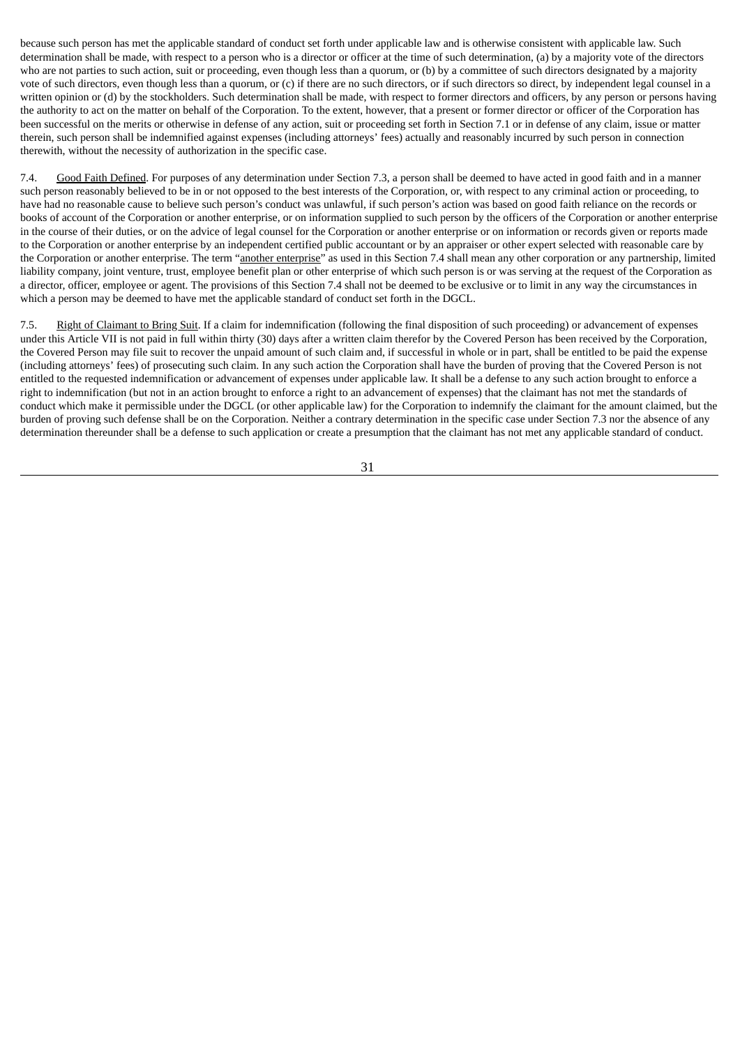because such person has met the applicable standard of conduct set forth under applicable law and is otherwise consistent with applicable law. Such determination shall be made, with respect to a person who is a director or officer at the time of such determination, (a) by a majority vote of the directors who are not parties to such action, suit or proceeding, even though less than a quorum, or (b) by a committee of such directors designated by a majority vote of such directors, even though less than a quorum, or (c) if there are no such directors, or if such directors so direct, by independent legal counsel in a written opinion or (d) by the stockholders. Such determination shall be made, with respect to former directors and officers, by any person or persons having the authority to act on the matter on behalf of the Corporation. To the extent, however, that a present or former director or officer of the Corporation has been successful on the merits or otherwise in defense of any action, suit or proceeding set forth in Section 7.1 or in defense of any claim, issue or matter therein, such person shall be indemnified against expenses (including attorneys' fees) actually and reasonably incurred by such person in connection therewith, without the necessity of authorization in the specific case.

7.4. Good Faith Defined. For purposes of any determination under Section 7.3, a person shall be deemed to have acted in good faith and in a manner such person reasonably believed to be in or not opposed to the best interests of the Corporation, or, with respect to any criminal action or proceeding, to have had no reasonable cause to believe such person's conduct was unlawful, if such person's action was based on good faith reliance on the records or books of account of the Corporation or another enterprise, or on information supplied to such person by the officers of the Corporation or another enterprise in the course of their duties, or on the advice of legal counsel for the Corporation or another enterprise or on information or records given or reports made to the Corporation or another enterprise by an independent certified public accountant or by an appraiser or other expert selected with reasonable care by the Corporation or another enterprise. The term "another enterprise" as used in this Section 7.4 shall mean any other corporation or any partnership, limited liability company, joint venture, trust, employee benefit plan or other enterprise of which such person is or was serving at the request of the Corporation as a director, officer, employee or agent. The provisions of this Section 7.4 shall not be deemed to be exclusive or to limit in any way the circumstances in which a person may be deemed to have met the applicable standard of conduct set forth in the DGCL.

7.5. Right of Claimant to Bring Suit. If a claim for indemnification (following the final disposition of such proceeding) or advancement of expenses under this Article VII is not paid in full within thirty (30) days after a written claim therefor by the Covered Person has been received by the Corporation, the Covered Person may file suit to recover the unpaid amount of such claim and, if successful in whole or in part, shall be entitled to be paid the expense (including attorneys' fees) of prosecuting such claim. In any such action the Corporation shall have the burden of proving that the Covered Person is not entitled to the requested indemnification or advancement of expenses under applicable law. It shall be a defense to any such action brought to enforce a right to indemnification (but not in an action brought to enforce a right to an advancement of expenses) that the claimant has not met the standards of conduct which make it permissible under the DGCL (or other applicable law) for the Corporation to indemnify the claimant for the amount claimed, but the burden of proving such defense shall be on the Corporation. Neither a contrary determination in the specific case under Section 7.3 nor the absence of any determination thereunder shall be a defense to such application or create a presumption that the claimant has not met any applicable standard of conduct.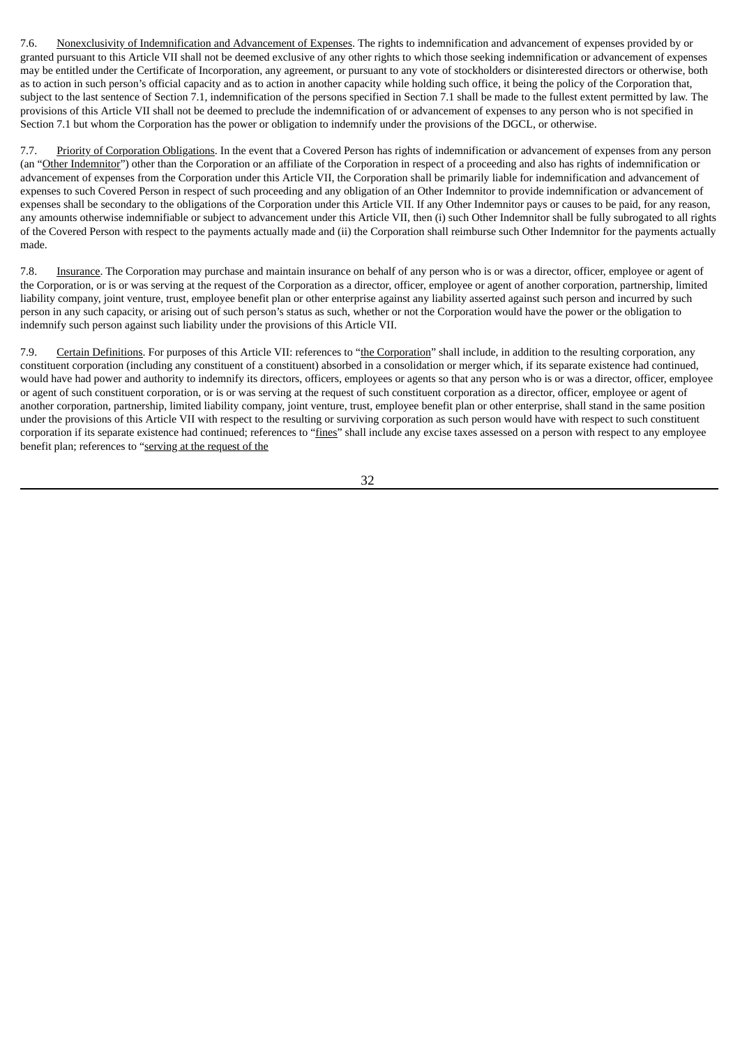7.6. Nonexclusivity of Indemnification and Advancement of Expenses. The rights to indemnification and advancement of expenses provided by or granted pursuant to this Article VII shall not be deemed exclusive of any other rights to which those seeking indemnification or advancement of expenses may be entitled under the Certificate of Incorporation, any agreement, or pursuant to any vote of stockholders or disinterested directors or otherwise, both as to action in such person's official capacity and as to action in another capacity while holding such office, it being the policy of the Corporation that, subject to the last sentence of Section 7.1, indemnification of the persons specified in Section 7.1 shall be made to the fullest extent permitted by law. The provisions of this Article VII shall not be deemed to preclude the indemnification of or advancement of expenses to any person who is not specified in Section 7.1 but whom the Corporation has the power or obligation to indemnify under the provisions of the DGCL, or otherwise.

7.7. Priority of Corporation Obligations. In the event that a Covered Person has rights of indemnification or advancement of expenses from any person (an "Other Indemnitor") other than the Corporation or an affiliate of the Corporation in respect of a proceeding and also has rights of indemnification or advancement of expenses from the Corporation under this Article VII, the Corporation shall be primarily liable for indemnification and advancement of expenses to such Covered Person in respect of such proceeding and any obligation of an Other Indemnitor to provide indemnification or advancement of expenses shall be secondary to the obligations of the Corporation under this Article VII. If any Other Indemnitor pays or causes to be paid, for any reason, any amounts otherwise indemnifiable or subject to advancement under this Article VII, then (i) such Other Indemnitor shall be fully subrogated to all rights of the Covered Person with respect to the payments actually made and (ii) the Corporation shall reimburse such Other Indemnitor for the payments actually made.

7.8. Insurance. The Corporation may purchase and maintain insurance on behalf of any person who is or was a director, officer, employee or agent of the Corporation, or is or was serving at the request of the Corporation as a director, officer, employee or agent of another corporation, partnership, limited liability company, joint venture, trust, employee benefit plan or other enterprise against any liability asserted against such person and incurred by such person in any such capacity, or arising out of such person's status as such, whether or not the Corporation would have the power or the obligation to indemnify such person against such liability under the provisions of this Article VII.

7.9. Certain Definitions. For purposes of this Article VII: references to "the Corporation" shall include, in addition to the resulting corporation, any constituent corporation (including any constituent of a constituent) absorbed in a consolidation or merger which, if its separate existence had continued, would have had power and authority to indemnify its directors, officers, employees or agents so that any person who is or was a director, officer, employee or agent of such constituent corporation, or is or was serving at the request of such constituent corporation as a director, officer, employee or agent of another corporation, partnership, limited liability company, joint venture, trust, employee benefit plan or other enterprise, shall stand in the same position under the provisions of this Article VII with respect to the resulting or surviving corporation as such person would have with respect to such constituent corporation if its separate existence had continued; references to "fines" shall include any excise taxes assessed on a person with respect to any employee benefit plan; references to "serving at the request of the